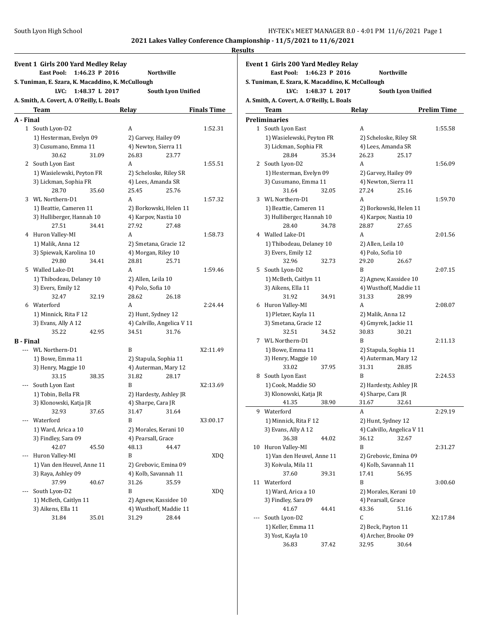|                  | <b>Event 1 Girls 200 Yard Medley Relay</b><br><b>East Pool:</b> | 1:46.23 P 2016 | <b>Northville</b>                               |                    |                    |
|------------------|-----------------------------------------------------------------|----------------|-------------------------------------------------|--------------------|--------------------|
|                  | S. Tuniman, E. Szara, K. Macaddino, K. McCullough               |                |                                                 |                    |                    |
|                  | LVC:                                                            | 1:48.37 L 2017 |                                                 | South Lyon Unified |                    |
|                  | A. Smith, A. Covert, A. O'Reilly, L. Boals                      |                |                                                 |                    |                    |
|                  | Team                                                            |                | Relay                                           |                    | <b>Finals Time</b> |
|                  |                                                                 |                |                                                 |                    |                    |
| A - Final        | 1 South Lyon-D2                                                 |                | A                                               |                    | 1:52.31            |
|                  |                                                                 |                |                                                 |                    |                    |
|                  | 1) Hesterman, Evelyn 09                                         |                | 2) Garvey, Hailey 09                            |                    |                    |
|                  | 3) Cusumano, Emma 11                                            |                | 4) Newton, Sierra 11                            |                    |                    |
|                  | 30.62                                                           | 31.09          | 26.83                                           | 23.77              |                    |
|                  | 2 South Lyon East                                               |                | A                                               |                    | 1:55.51            |
|                  | 1) Wasielewski, Peyton FR                                       |                | 2) Scheloske, Riley SR                          |                    |                    |
|                  | 3) Lickman, Sophia FR                                           |                | 4) Lees, Amanda SR                              |                    |                    |
|                  | 28.70                                                           | 35.60          | 25.45                                           | 25.76              |                    |
|                  | 3 WL Northern-D1                                                |                | A                                               |                    | 1:57.32            |
|                  | 1) Beattie, Cameren 11                                          |                | 2) Borkowski, Helen 11                          |                    |                    |
|                  | 3) Hulliberger, Hannah 10                                       |                | 4) Karpov, Nastia 10                            |                    |                    |
|                  | 27.51                                                           | 34.41          | 27.92                                           | 27.48              |                    |
|                  | 4 Huron Valley-MI                                               |                | A                                               |                    | 1:58.73            |
|                  | 1) Malik, Anna 12                                               |                | 2) Smetana, Gracie 12                           |                    |                    |
|                  | 3) Spiewak, Karolina 10                                         |                | 4) Morgan, Riley 10                             |                    |                    |
|                  | 29.80                                                           | 34.41          | 28.81                                           | 25.71              |                    |
|                  | 5 Walled Lake-D1                                                |                | A                                               |                    | 1:59.46            |
|                  | 1) Thibodeau, Delaney 10                                        |                | 2) Allen, Leila 10                              |                    |                    |
|                  | 3) Evers, Emily 12                                              |                | 4) Polo, Sofia 10                               |                    |                    |
|                  | 32.47                                                           | 32.19          | 28.62                                           | 26.18              |                    |
|                  | 6 Waterford                                                     |                | A                                               |                    | 2:24.44            |
|                  | 1) Minnick, Rita F 12                                           |                | 2) Hunt, Sydney 12                              |                    |                    |
|                  | 3) Evans, Ally A 12                                             |                | 4) Calvillo, Angelica V 11                      |                    |                    |
|                  | 35.22                                                           | 42.95          | 34.51                                           | 31.76              |                    |
| <b>B</b> - Final |                                                                 |                |                                                 |                    |                    |
|                  | --- WL Northern-D1                                              |                | B                                               |                    | X2:11.49           |
|                  | 1) Bowe, Emma 11                                                |                | 2) Stapula, Sophia 11                           |                    |                    |
|                  | 3) Henry, Maggie 10                                             |                | 4) Auterman, Mary 12                            |                    |                    |
|                  | 33.15                                                           | 38.35          | 31.82                                           | 28.17              |                    |
|                  | South Lyon East                                                 |                | B                                               |                    | X2:13.69           |
|                  | 1) Tobin, Bella FR                                              |                | 2) Hardesty, Ashley JR                          |                    |                    |
|                  | 3) Klonowski, Katja JR                                          |                | 4) Sharpe, Cara JR                              |                    |                    |
|                  | 32.93                                                           | 37.65          | 31.47                                           | 31.64              |                    |
|                  | --- Waterford                                                   |                | B                                               |                    | X3:00.17           |
|                  | 1) Ward, Arica a 10                                             |                | 2) Morales, Kerani 10                           |                    |                    |
|                  | 3) Findley, Sara 09                                             |                | 4) Pearsall, Grace                              |                    |                    |
|                  | 42.07                                                           | 45.50          | 48.13                                           | 44.47              |                    |
| ---              | Huron Valley-MI                                                 |                | B                                               |                    | <b>XDQ</b>         |
|                  | 1) Van den Heuvel, Anne 11                                      |                | 2) Grebovic, Emina 09                           |                    |                    |
|                  | 3) Raya, Ashley 09                                              |                | 4) Kolb, Savannah 11                            |                    |                    |
|                  |                                                                 | 40.67          | 31.26                                           | 35.59              |                    |
| ---              | 37.99                                                           |                |                                                 |                    |                    |
|                  |                                                                 |                | B                                               |                    |                    |
|                  | South Lyon-D2                                                   |                |                                                 |                    | XDQ                |
|                  | 1) McBeth, Caitlyn 11<br>3) Aikens, Ella 11                     |                | 2) Agnew, Kassidee 10<br>4) Wusthoff, Maddie 11 |                    |                    |

|    | <b>Event 1 Girls 200 Yard Medley Relay</b>        |                |                            |                           |                    |
|----|---------------------------------------------------|----------------|----------------------------|---------------------------|--------------------|
|    | <b>East Pool:</b>                                 | 1:46.23 P 2016 | <b>Northville</b>          |                           |                    |
|    | S. Tuniman, E. Szara, K. Macaddino, K. McCullough |                |                            |                           |                    |
|    | LVC:                                              | 1:48.37 L 2017 |                            | <b>South Lyon Unified</b> |                    |
|    | A. Smith, A. Covert, A. O'Reilly, L. Boals        |                |                            |                           |                    |
|    | <b>Team</b>                                       |                | Relay                      |                           | <b>Prelim Time</b> |
|    | <b>Preliminaries</b>                              |                |                            |                           |                    |
|    | 1 South Lyon East                                 |                | A                          |                           | 1:55.58            |
|    | 1) Wasielewski, Peyton FR                         |                | 2) Scheloske, Riley SR     |                           |                    |
|    | 3) Lickman, Sophia FR                             |                | 4) Lees, Amanda SR         |                           |                    |
|    | 28.84                                             | 35.34          | 26.23                      | 25.17                     |                    |
|    | 2 South Lyon-D2                                   |                | A                          |                           | 1:56.09            |
|    | 1) Hesterman, Evelyn 09                           |                | 2) Garvey, Hailey 09       |                           |                    |
|    | 3) Cusumano, Emma 11                              |                | 4) Newton, Sierra 11       |                           |                    |
|    | 31.64                                             | 32.05          | 27.24                      | 25.16                     |                    |
|    | 3 WL Northern-D1                                  |                | A                          |                           | 1:59.70            |
|    | 1) Beattie, Cameren 11                            |                | 2) Borkowski, Helen 11     |                           |                    |
|    | 3) Hulliberger, Hannah 10                         |                | 4) Karpov, Nastia 10       |                           |                    |
|    | 28.40                                             | 34.78          | 28.87                      | 27.65                     |                    |
|    | 4 Walled Lake-D1                                  |                | A                          |                           | 2:01.56            |
|    | 1) Thibodeau, Delaney 10                          |                | 2) Allen, Leila 10         |                           |                    |
|    | 3) Evers, Emily 12                                |                | 4) Polo, Sofia 10          |                           |                    |
|    | 32.96                                             | 32.73          | 29.20                      | 26.67                     |                    |
|    | 5 South Lyon-D2                                   |                | B                          |                           | 2:07.15            |
|    | 1) McBeth, Caitlyn 11                             |                | 2) Agnew, Kassidee 10      |                           |                    |
|    | 3) Aikens, Ella 11                                |                | 4) Wusthoff, Maddie 11     |                           |                    |
|    | 31.92                                             | 34.91          | 31.33                      | 28.99                     |                    |
|    | 6 Huron Valley-MI                                 |                | A                          |                           | 2:08.07            |
|    | 1) Pletzer, Kayla 11                              |                | 2) Malik, Anna 12          |                           |                    |
|    | 3) Smetana, Gracie 12                             |                | 4) Gmyrek, Jackie 11       |                           |                    |
|    | 32.51                                             | 34.52          | 30.83                      | 30.21                     |                    |
|    | 7 WL Northern-D1                                  |                | B                          |                           | 2:11.13            |
|    | 1) Bowe, Emma 11                                  |                | 2) Stapula, Sophia 11      |                           |                    |
|    | 3) Henry, Maggie 10                               |                | 4) Auterman, Mary 12       |                           |                    |
|    | 33.02                                             | 37.95          | 31.31                      | 28.85                     |                    |
|    | 8 South Lyon East                                 |                | B                          |                           | 2:24.53            |
|    | 1) Cook, Maddie SO                                |                | 2) Hardesty, Ashley JR     |                           |                    |
|    | 3) Klonowski, Katja JR                            |                | 4) Sharpe, Cara JR         |                           |                    |
|    | 41.35                                             | 38.90          | 31.67                      | 32.61                     |                    |
| 9  | Waterford                                         |                | A                          |                           | 2:29.19            |
|    | 1) Minnick, Rita F 12                             |                | 2) Hunt, Sydney 12         |                           |                    |
|    | 3) Evans, Ally A 12                               |                | 4) Calvillo, Angelica V 11 |                           |                    |
|    | 36.38                                             | 44.02          | 36.12                      | 32.67                     |                    |
| 10 | Huron Valley-MI                                   |                | B                          |                           | 2:31.27            |
|    | 1) Van den Heuvel, Anne 11                        |                | 2) Grebovic, Emina 09      |                           |                    |
|    | 3) Koivula, Mila 11                               |                | 4) Kolb, Savannah 11       |                           |                    |
|    | 37.60                                             | 39.31          | 17.41                      | 56.95                     |                    |
| 11 | Waterford                                         |                | B                          |                           | 3:00.60            |
|    | 1) Ward, Arica a 10                               |                | 2) Morales, Kerani 10      |                           |                    |
|    | 3) Findley, Sara 09                               |                | 4) Pearsall, Grace         |                           |                    |
|    | 41.67                                             | 44.41          | 43.36                      | 51.16                     |                    |
|    | South Lyon-D2                                     |                | C                          |                           | X2:17.84           |
|    | 1) Keller, Emma 11                                |                | 2) Beck, Payton 11         |                           |                    |
|    | 3) Yost, Kayla 10                                 |                | 4) Archer, Brooke 09       |                           |                    |
|    | 36.83                                             | 37.42          | 32.95                      | 30.64                     |                    |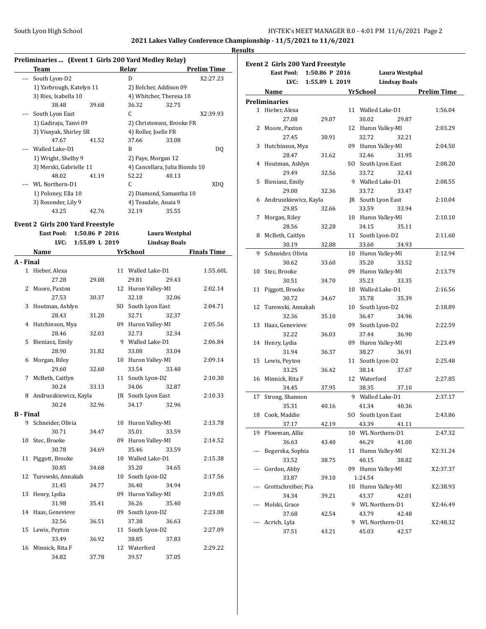|                  | Preliminaries  (Event 1 Girls 200 Yard Medley Relay) |                |                                |                      |                    | <b>Results</b> |
|------------------|------------------------------------------------------|----------------|--------------------------------|----------------------|--------------------|----------------|
|                  | <b>Team</b>                                          |                | Relay                          |                      | <b>Prelim Time</b> | Ever           |
| --- 1            | South Lyon-D2                                        |                | D                              |                      | X2:27.23           |                |
|                  | 1) Yarbrough, Katelyn 11                             |                | 2) Belcher, Addison 09         |                      |                    |                |
|                  | 3) Ries, Isabella 10                                 |                | 4) Whitcher, Theresa 10        |                      |                    |                |
|                  | 38.48                                                | 39.68          | 36.32                          | 32.75                |                    | Prel           |
|                  | South Lyon East                                      |                | C                              |                      | X2:39.93           |                |
|                  | 1) Gadiraju, Tanvi 09                                |                | 2) Christensen, Brooke FR      |                      |                    |                |
|                  | 3) Visnyak, Shirley SR                               |                | 4) Roller, Joelle FR           |                      |                    |                |
|                  | 47.67                                                | 41.52          | 37.66                          | 33.08                |                    |                |
|                  | Walled Lake-D1                                       |                | B                              |                      | DQ                 |                |
|                  | 1) Wright, Shelby 9                                  |                | 2) Paye, Morgan 12             |                      |                    |                |
|                  | 3) Merski, Gabrielle 11                              |                | 4) Cancellara, Julia Biondo 10 |                      |                    |                |
|                  | 48.02                                                | 41.19          | 52.22                          | 40.13                |                    |                |
|                  | WL Northern-D1                                       |                | C                              |                      | XDQ                |                |
|                  | 1) Poloney, Ella 10                                  |                | 2) Diamond, Samantha 10        |                      |                    |                |
|                  | 3) Rosender, Lily 9                                  |                | 4) Teasdale, Anaia 9           |                      |                    |                |
|                  | 43.25                                                | 42.76          | 32.19                          | 35.55                |                    |                |
|                  |                                                      |                |                                |                      |                    |                |
|                  | Event 2 Girls 200 Yard Freestyle                     |                |                                |                      |                    |                |
|                  | <b>East Pool:</b>                                    | 1:50.86 P 2016 |                                | Laura Westphal       |                    |                |
|                  | LVC:                                                 | 1:55.89 L 2019 |                                | <b>Lindsay Boals</b> |                    |                |
|                  | Name                                                 |                | YrSchool                       |                      | <b>Finals Time</b> |                |
| A - Final        |                                                      |                |                                |                      |                    |                |
|                  | 1 Hieber, Alexa                                      |                | 11 Walled Lake-D1              |                      | 1:55.60L           |                |
|                  | 27.28                                                | 29.08          | 29.81                          | 29.43                |                    |                |
| 2                | Moore, Paxton                                        |                | 12 Huron Valley-MI             |                      | 2:02.14            |                |
|                  | 27.53                                                | 30.37          | 32.18                          | 32.06                |                    |                |
| 3                | Houtman, Ashlyn                                      |                | SO South Lyon East             |                      | 2:04.71            |                |
|                  | 28.43                                                | 31.20          | 32.71                          | 32.37                |                    |                |
|                  | 4 Hutchinson, Mya                                    |                | 09 Huron Valley-MI             |                      | 2:05.56            |                |
|                  | 28.46                                                | 32.03          | 32.73                          | 32.34                |                    |                |
| 5                | Bieniasz, Emily                                      |                | 9 Walled Lake-D1               |                      | 2:06.84            |                |
|                  | 28.90                                                | 31.82          | 33.08                          | 33.04                |                    |                |
| 6                | Morgan, Riley                                        |                | 10 Huron Valley-MI             |                      | 2:09.14            |                |
|                  | 29.60                                                | 32.60          | 33.54                          | 33.40                |                    |                |
| 7                | McBeth, Caitlyn                                      |                | 11 South Lyon-D2               |                      | 2:10.30            |                |
|                  | 30.24                                                | 33.13          | 34.06                          | 32.87                |                    |                |
| 8                | Andruszkiewicz, Kayla                                |                | JR South Lyon East             |                      | 2:10.33            |                |
|                  | 30.24                                                | 32.96          | 34.17                          | 32.96                |                    |                |
| <b>B</b> - Final |                                                      |                |                                |                      |                    |                |
| 9                | Schneider, Olivia                                    |                | 10 Huron Valley-MI             |                      | 2:13.78            |                |
|                  | 30.71                                                | 34.47          | 35.01                          | 33.59                |                    |                |
| 10               | Stec, Brooke                                         |                | 09 Huron Valley-MI             |                      | 2:14.52            |                |
|                  | 30.78                                                | 34.69          | 35.46                          | 33.59                |                    |                |
|                  | 11 Piggott, Brooke                                   |                | 10 Walled Lake-D1              |                      | 2:15.38            |                |
|                  | 30.85                                                | 34.68          | 35.20                          | 34.65                |                    |                |
| 12               | Turowski, Annakah                                    |                | 10 South Lyon-D2               |                      | 2:17.56            |                |
|                  | 31.45                                                | 34.77          | 36.40                          | 34.94                |                    |                |
| 13               | Henry, Lydia                                         |                | 09 Huron Valley-MI             |                      | 2:19.05            |                |
|                  | 31.98                                                | 35.41          | 36.26                          | 35.40                |                    |                |
| 14               | Haas, Genevieve                                      |                | 09 South Lyon-D2               |                      | 2:23.08            |                |
|                  | 32.56                                                | 36.51          | 37.38                          | 36.63                |                    |                |
| 15               | Lewis, Peyton                                        |                | 11 South Lyon-D2               |                      | 2:27.09            |                |
|                  | 33.49                                                | 36.92          | 38.85                          | 37.83                |                    |                |
|                  | 16 Minnick, Rita F                                   |                | 12 Waterford                   |                      | 2:29.22            |                |
|                  | 34.82                                                | 37.78          | 39.57                          | 37.05                |                    |                |

|     | <b>Event 2 Girls 200 Yard Freestyle</b> |                |    |                      |                    |
|-----|-----------------------------------------|----------------|----|----------------------|--------------------|
|     | <b>East Pool:</b>                       | 1:50.86 P 2016 |    | Laura Westphal       |                    |
|     | LVC:                                    | 1:55.89 L 2019 |    | <b>Lindsay Boals</b> |                    |
|     | Name                                    |                |    | <b>YrSchool</b>      | <b>Prelim Time</b> |
|     | <b>Preliminaries</b>                    |                |    |                      |                    |
|     | 1 Hieber, Alexa                         |                |    | 11 Walled Lake-D1    | 1:56.04            |
|     | 27.08                                   | 29.07          |    | 30.02<br>29.87       |                    |
| 2   | Moore, Paxton                           |                |    | 12 Huron Valley-MI   | 2:03.29            |
|     | 27.45                                   | 30.91          |    | 32.72<br>32.21       |                    |
| 3   | Hutchinson, Mya                         |                |    | 09 Huron Valley-MI   | 2:04.50            |
|     | 28.47                                   | 31.62          |    | 32.46<br>31.95       |                    |
|     | 4 Houtman, Ashlyn                       |                |    | SO South Lyon East   | 2:08.20            |
|     | 29.49                                   | 32.56          |    | 33.72<br>32.43       |                    |
| 5   | Bieniasz, Emily                         |                |    | 9 Walled Lake-D1     | 2:08.55            |
|     | 29.00                                   | 32.36          |    | 33.72<br>33.47       |                    |
|     | 6 Andruszkiewicz, Kayla                 |                |    | JR South Lyon East   | 2:10.04            |
|     | 29.85                                   | 32.66          |    | 33.59<br>33.94       |                    |
| 7   | Morgan, Riley                           |                |    | 10 Huron Valley-MI   | 2:10.10            |
|     | 28.56                                   | 32.28          |    | 34.15<br>35.11       |                    |
| 8   | McBeth, Caitlyn                         |                |    | 11 South Lyon-D2     | 2:11.60            |
|     | 30.19                                   | 32.88          |    | 33.60<br>34.93       |                    |
| 9   | Schneider, Olivia                       |                |    | 10 Huron Valley-MI   | 2:12.94            |
|     | 30.62                                   | 33.60          |    | 35.20<br>33.52       |                    |
| 10  | Stec, Brooke                            |                |    | 09 Huron Valley-MI   | 2:13.79            |
|     | 30.51                                   | 34.70          |    | 35.23<br>33.35       |                    |
| 11  | Piggott, Brooke                         |                |    | 10 Walled Lake-D1    | 2:16.56            |
|     | 30.72                                   | 34.67          |    | 35.78<br>35.39       |                    |
| 12  | Turowski, Annakah                       |                | 10 | South Lyon-D2        | 2:18.89            |
|     | 32.36                                   | 35.10          |    | 36.47<br>34.96       |                    |
|     | 13 Haas, Genevieve                      |                |    | 09 South Lyon-D2     | 2:22.59            |
|     | 32.22                                   | 36.03          |    | 37.44<br>36.90       |                    |
| 14  | Henry, Lydia                            |                |    | 09 Huron Valley-MI   | 2:23.49            |
|     | 31.94                                   | 36.37          |    | 38.27<br>36.91       |                    |
| 15  | Lewis, Peyton                           |                |    | 11 South Lyon-D2     | 2:25.48            |
|     | 33.25                                   | 36.42          |    | 38.14<br>37.67       |                    |
|     | 16 Minnick, Rita F                      |                |    | 12 Waterford         | 2:27.85            |
|     | 34.45                                   | 37.95          |    | 38.35<br>37.10       |                    |
| 17  | Strong, Shannon                         |                |    | 9 Walled Lake-D1     | 2:37.17            |
|     | 35.31                                   | 40.16          |    | 41.34<br>40.36       |                    |
|     | 18 Cook, Maddie                         |                | SO | South Lyon East      | 2:43.86            |
|     | 37.17                                   | 42.19          |    | 43.39<br>41.11       |                    |
| 19  | Plowman, Allie                          |                | 10 | WL Northern-D1       | 2:47.32            |
|     | 36.63                                   | 43.40          |    | 46.29<br>41.00       |                    |
| --- | Begerska, Sophia                        |                | 11 | Huron Valley-MI      | X2:31.24           |
|     | 33.52                                   | 38.75          |    | 40.15<br>38.82       |                    |
|     | Gordon, Abby                            |                |    | 09 Huron Valley-MI   | X2:37.37           |
|     | 33.87                                   | 39.10          |    | 1:24.54              |                    |
|     | Grottschreiber, Pia                     |                | 10 | Huron Valley-MI      | X2:38.93           |
|     | 34.34                                   | 39.21          |    | 43.37<br>42.01       |                    |
|     | Molski, Grace                           |                |    | 9 WL Northern-D1     | X2:46.49           |
|     | 37.68                                   | 42.54          |    | 43.79<br>42.48       |                    |
|     | Acrich, Lyla                            |                |    | 9 WL Northern-D1     | X2:48.32           |
|     | 37.51                                   | 43.21          |    | 45.03<br>42.57       |                    |
|     |                                         |                |    |                      |                    |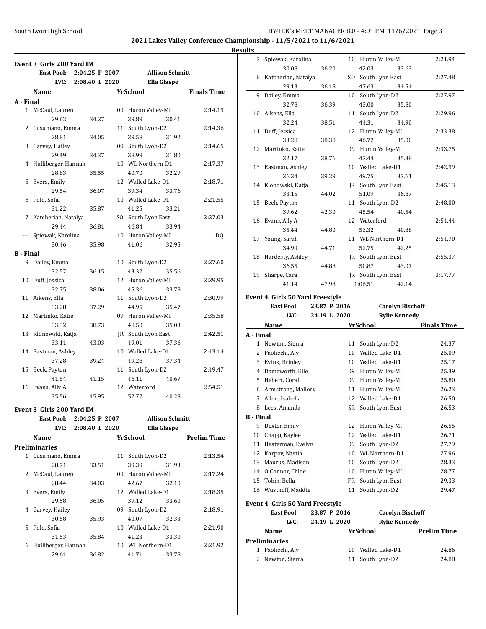# South Lyon High School **HY-TEK's MEET MANAGER 8.0 - 4:01 PM 11/6/2021** Page 3

**2021 Lakes Valley Conference Championship - 11/5/2021 to 11/6/2021**

|                  | Event 3 Girls 200 Yard IM<br>East Pool: 2:04.25 P 2007 |                |    | <b>Allison Schmitt</b> |                    |
|------------------|--------------------------------------------------------|----------------|----|------------------------|--------------------|
|                  | LVC:                                                   | 2:08.40 L 2020 |    | <b>Ella Glaspe</b>     |                    |
|                  | Name                                                   |                |    | <b>YrSchool</b>        | <b>Finals Time</b> |
| A - Final        |                                                        |                |    |                        |                    |
|                  | 1 McCaul, Lauren                                       |                |    | 09 Huron Valley-MI     | 2:14.19            |
|                  | 29.62                                                  | 34.27          |    | 39.89<br>30.41         |                    |
|                  | 2 Cusumano, Emma                                       |                |    | 11 South Lyon-D2       | 2:14.36            |
|                  | 28.81                                                  | 34.05          |    | 39.58<br>31.92         |                    |
| 3                | Garvey, Hailey                                         |                |    | 09 South Lyon-D2       | 2:14.65            |
|                  | 29.49                                                  | 34.37          |    | 38.99<br>31.80         |                    |
| 4                | Hulliberger, Hannah                                    |                |    | 10 WL Northern-D1      | 2:17.37            |
|                  | 28.83                                                  | 35.55          |    | 40.70<br>32.29         |                    |
| 5                | Evers, Emily                                           |                |    | 12 Walled Lake-D1      | 2:18.71            |
|                  | 29.54                                                  | 36.07          |    | 39.34<br>33.76         |                    |
| 6                | Polo, Sofia                                            |                |    | 10 Walled Lake-D1      | 2:21.55            |
|                  | 31.22                                                  | 35.87          |    | 41.25<br>33.21         |                    |
| 7                | Katcherian, Natalya                                    |                |    | SO South Lyon East     | 2:27.03            |
|                  | 29.44                                                  | 36.81          |    | 46.84                  |                    |
| ---              |                                                        |                |    | 33.94                  |                    |
|                  | Spiewak, Karolina<br>30.46                             |                |    | 10 Huron Valley-MI     | DQ                 |
|                  |                                                        | 35.98          |    | 41.06<br>32.95         |                    |
| <b>B</b> - Final |                                                        |                |    |                        |                    |
|                  | 9 Dailey, Emma                                         |                |    | 10 South Lyon-D2       | 2:27.60            |
|                  | 32.57                                                  | 36.15          |    | 43.32<br>35.56         |                    |
| 10               | Duff, Jessica                                          |                |    | 12 Huron Valley-MI     | 2:29.95            |
|                  | 32.75                                                  | 38.06          |    | 45.36<br>33.78         |                    |
|                  | 11 Aikens, Ella                                        |                |    | 11 South Lyon-D2       | 2:30.99            |
|                  | 33.28                                                  | 37.29          |    | 44.95<br>35.47         |                    |
|                  | 12 Martinko, Katie                                     |                |    | 09 Huron Valley-MI     | 2:35.58            |
|                  | 33.32                                                  | 38.73          |    | 48.50<br>35.03         |                    |
|                  | 13 Klonowski, Katja                                    |                |    | JR South Lyon East     | 2:42.51            |
|                  | 33.11                                                  | 43.03          |    | 49.01<br>37.36         |                    |
|                  | 14 Eastman, Ashley                                     |                |    | 10 Walled Lake-D1      | 2:43.14            |
|                  | 37.28                                                  | 39.24          |    | 49.28<br>37.34         |                    |
| 15               | Beck, Payton                                           |                |    | 11 South Lyon-D2       | 2:49.47            |
|                  | 41.54                                                  | 41.15          |    | 46.11<br>40.67         |                    |
|                  | 16 Evans, Ally A                                       |                |    | 12 Waterford           | 2:54.51            |
|                  | 35.56                                                  | 45.95          |    | 52.72<br>40.28         |                    |
|                  |                                                        |                |    |                        |                    |
|                  | Event 3 Girls 200 Yard IM                              |                |    |                        |                    |
|                  | <b>East Pool:</b>                                      | 2:04.25 P 2007 |    | <b>Allison Schmitt</b> |                    |
|                  | LVC:                                                   | 2:08.40 L 2020 |    | <b>Ella Glaspe</b>     |                    |
|                  | Name                                                   |                |    | YrSchool               | <b>Prelim Time</b> |
|                  | Preliminaries                                          |                |    |                        |                    |
| $1 \quad$        | Cusumano, Emma                                         |                | 11 | South Lyon-D2          | 2:13.54            |
|                  | 28.71                                                  | 33.51          |    | 39.39<br>31.93         |                    |
| 2                | McCaul, Lauren                                         |                | 09 | Huron Valley-MI        | 2:17.24            |
|                  | 28.44                                                  | 34.03          |    | 42.67<br>32.10         |                    |
| 3                | Evers, Emily                                           |                |    | 12 Walled Lake-D1      | 2:18.35            |
|                  | 29.58                                                  | 36.05          |    | 39.12<br>33.60         |                    |
| 4                | Garvey, Hailey                                         |                | 09 | South Lyon-D2          | 2:18.91            |
|                  | 30.58                                                  | 35.93          |    | 40.07<br>32.33         |                    |
| 5                | Polo, Sofia                                            |                |    | 10 Walled Lake-D1      | 2:21.90            |
|                  | 31.53                                                  | 35.84          |    | 41.23<br>33.30         |                    |
| 6                | Hulliberger, Hannah                                    |                |    | 10 WL Northern-D1      | 2:21.92            |
|                  | 29.61                                                  | 36.82          |    | 41.71<br>33.78         |                    |
|                  |                                                        |                |    |                        |                    |

| 7                     | Spiewak, Karolina                      |       |              | 10 Huron Valley-MI      | 2:21.94            |
|-----------------------|----------------------------------------|-------|--------------|-------------------------|--------------------|
|                       | 30.08                                  | 36.20 |              | 42.03<br>33.63          |                    |
| 8                     | Katcherian, Natalya                    |       |              | SO South Lyon East      | 2:27.48            |
|                       | 29.13                                  | 36.18 |              | 47.63<br>34.54          |                    |
| 9                     | Dailey, Emma                           |       |              | 10 South Lyon-D2        | 2:27.97            |
|                       | 32.78                                  | 36.39 |              | 43.00<br>35.80          |                    |
| 10                    | Aikens, Ella                           |       |              | 11 South Lyon-D2        | 2:29.96            |
|                       | 32.24                                  | 38.51 |              | 44.31<br>34.90          |                    |
| 11                    | Duff, Jessica                          |       |              | 12 Huron Valley-MI      | 2:33.38            |
|                       | 33.28                                  | 38.38 |              | 46.72<br>35.00          |                    |
| 12                    | Martinko, Katie                        |       |              | 09 Huron Valley-MI      | 2:33.75            |
|                       |                                        |       |              |                         |                    |
|                       | 32.17                                  | 38.76 |              | 47.44<br>35.38          |                    |
| 13                    | Eastman, Ashley                        |       |              | 10 Walled Lake-D1       | 2:42.99            |
|                       | 36.34                                  | 39.29 |              | 49.75<br>37.61          |                    |
| 14                    | Klonowski, Katja                       |       |              | JR South Lyon East      | 2:45.13            |
|                       | 33.15                                  | 44.02 |              | 51.09<br>36.87          |                    |
| 15                    | Beck, Payton                           |       |              | 11 South Lyon-D2        | 2:48.00            |
|                       | 39.62                                  | 42.30 |              | 45.54<br>40.54          |                    |
| 16                    | Evans, Ally A                          |       |              | 12 Waterford            | 2:54.44            |
|                       | 35.44                                  | 44.80 |              | 53.32<br>40.88          |                    |
| 17                    | Young, Sarah                           |       |              | 11 WL Northern-D1       | 2:54.70            |
|                       | 34.99                                  | 44.71 |              | 52.75<br>42.25          |                    |
| 18                    | Hardesty, Ashley                       |       |              | JR South Lyon East      | 2:55.37            |
|                       | 36.55                                  | 44.88 |              | 50.87<br>43.07          |                    |
| 19                    | Sharpe, Cara                           |       |              | JR South Lyon East      | 3:17.77            |
|                       | 41.14                                  | 47.98 |              | 1:06.51<br>42.14        |                    |
|                       |                                        |       |              |                         |                    |
|                       | <b>Event 4 Girls 50 Yard Freestyle</b> |       |              |                         |                    |
|                       | <b>East Pool:</b>                      |       | 23.87 P 2016 | <b>Carolyn Bischoff</b> |                    |
|                       | LVC:                                   |       | 24.19 L 2020 | <b>Rylie Kennedy</b>    |                    |
|                       |                                        |       |              |                         |                    |
|                       | Name                                   |       |              | <b>YrSchool</b>         | <b>Finals Time</b> |
| A - Final             |                                        |       |              |                         |                    |
| 1                     | Newton, Sierra                         |       | 11           | South Lyon-D2           | 24.37              |
| 2                     | Paolicchi, Aly                         |       |              | 10 Walled Lake-D1       | 25.09              |
| 3                     | Evink, Brinley                         |       |              | 10 Walled Lake-D1       | 25.17              |
|                       | 4 Dameworth, Elle                      |       |              | 09 Huron Valley-MI      | 25.39              |
| 5                     | Hebert, Coral                          |       |              | 09 Huron Valley-MI      | 25.80              |
|                       | 6 Armstrong, Mallory                   |       |              | 11 Huron Valley-MI      | 26.23              |
| 7                     |                                        |       | 12           | Walled Lake-D1          | 26.50              |
| 8                     | Allen, Isabella<br>Lees, Amanda        |       |              |                         | 26.53              |
|                       |                                        |       |              | SR South Lyon East      |                    |
| <b>B</b> - Final<br>9 |                                        |       |              |                         |                    |
|                       | Dexter, Emily                          |       |              | 12 Huron Valley-MI      | 26.55              |
| 10                    | Chapp, Kaylee                          |       |              | 12 Walled Lake-D1       | 26.71              |
| 11                    | Hesterman, Evelyn                      |       |              | 09 South Lyon-D2        | 27.79              |
| 12                    | Karpov, Nastia                         |       |              | 10 WL Northern-D1       | 27.96              |
| 13                    | Maurus, Madison                        |       |              | 10 South Lyon-D2        | 28.33              |
|                       | 14 O Connor, Chloe                     |       |              | 10 Huron Valley-MI      | 28.77              |
|                       | 15 Tobin, Bella                        |       |              | FR South Lyon East      | 29.33              |
|                       | 16 Wusthoff, Maddie                    |       | 11           | South Lyon-D2           | 29.47              |
|                       |                                        |       |              |                         |                    |
|                       | Event 4 Girls 50 Yard Freestyle        |       |              |                         |                    |
|                       | <b>East Pool:</b>                      |       | 23.87 P 2016 | <b>Carolyn Bischoff</b> |                    |
|                       | LVC:                                   |       | 24.19 L 2020 | <b>Rylie Kennedy</b>    |                    |
|                       | Name                                   |       |              | <b>YrSchool</b>         | <b>Prelim Time</b> |
|                       | Preliminaries                          |       |              |                         |                    |
| $1 \quad$             | Paolicchi, Aly                         |       | 10           | Walled Lake-D1          | 24.86              |
|                       | 2 Newton, Sierra                       |       | 11           | South Lyon-D2           | 24.88              |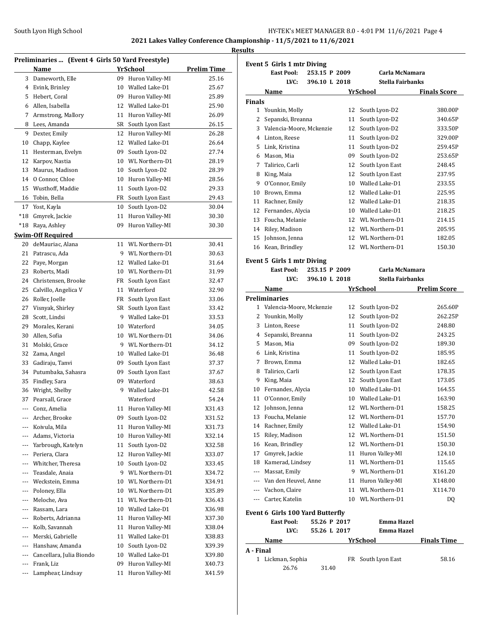|         | Preliminaries  (Event 4 Girls 50 Yard Freestyle) |    |                    |                    |       |
|---------|--------------------------------------------------|----|--------------------|--------------------|-------|
|         | <b>Name</b>                                      |    | <b>YrSchool</b>    | <b>Prelim Time</b> | Eve   |
|         | 3 Dameworth, Elle                                |    | 09 Huron Valley-MI | 25.16              |       |
|         | 4 Evink, Brinley                                 | 10 | Walled Lake-D1     | 25.67              |       |
|         | 5 Hebert, Coral                                  |    | 09 Huron Valley-MI | 25.89              |       |
|         | 6 Allen, Isabella                                |    | 12 Walled Lake-D1  | 25.90              | Fin:  |
| 7       | Armstrong, Mallory                               |    | 11 Huron Valley-MI | 26.09              |       |
| 8       | Lees, Amanda                                     |    | SR South Lyon East | 26.15              |       |
| 9       | Dexter, Emily                                    |    | 12 Huron Valley-MI | 26.28              |       |
| 10      | Chapp, Kaylee                                    |    | 12 Walled Lake-D1  | 26.64              |       |
| 11      | Hesterman, Evelyn                                |    | 09 South Lyon-D2   | 27.74              |       |
| 12      | Karpov, Nastia                                   |    | 10 WL Northern-D1  | 28.19              |       |
| 13      | Maurus, Madison                                  |    | 10 South Lyon-D2   | 28.39              |       |
| 14      | O Connor, Chloe                                  |    | 10 Huron Valley-MI | 28.56              |       |
| 15      | Wusthoff, Maddie                                 | 11 | South Lyon-D2      | 29.33              | 1     |
| 16      | Tobin, Bella                                     |    | FR South Lyon East | 29.43              | 1     |
| 17      | Yost, Kayla                                      |    | 10 South Lyon-D2   | 30.04              | 1     |
| $*18$   | Gmyrek, Jackie                                   |    | 11 Huron Valley-MI | 30.30              | 1     |
| $*18$   | Raya, Ashley                                     |    | 09 Huron Valley-MI | 30.30              | 1     |
|         | <b>Swim-Off Required</b>                         |    |                    |                    | 1     |
|         | 20 deMauriac, Alana                              |    | 11 WL Northern-D1  | 30.41              | 1     |
| 21      | Patrascu, Ada                                    |    | 9 WL Northern-D1   | 30.63              |       |
| 22      | Paye, Morgan                                     |    | 12 Walled Lake-D1  | 31.64              | Eve   |
| 23      | Roberts, Madi                                    |    | 10 WL Northern-D1  | 31.99              |       |
| 24      | Christensen, Brooke                              |    | FR South Lyon East | 32.47              |       |
| 25      | Calvillo, Angelica V                             |    | 11 Waterford       | 32.90              |       |
| 26      | Roller, Joelle                                   |    | FR South Lyon East | 33.06              | Pre   |
| 27      | Visnyak, Shirley                                 |    | SR South Lyon East | 33.42              |       |
| 28      | Scott, Lindsi                                    |    | 9 Walled Lake-D1   | 33.53              |       |
| 29      | Morales, Kerani                                  |    | 10 Waterford       | 34.05              |       |
| 30      | Allen, Sofia                                     |    | 10 WL Northern-D1  | 34.06              |       |
| 31      | Molski, Grace                                    |    | 9 WL Northern-D1   | 34.12              |       |
| 32      | Zama, Angel                                      |    | 10 Walled Lake-D1  | 36.48              |       |
| 33      | Gadiraju, Tanvi                                  |    | 09 South Lyon East | 37.37              |       |
| 34      | Putumbaka, Sahasra                               |    | 09 South Lyon East | 37.67              |       |
| 35      | Findley, Sara                                    |    | 09 Waterford       | 38.63              |       |
| 36      | Wright, Shelby                                   | 9  | Walled Lake-D1     | 42.58              | 1     |
| 37      | Pearsall, Grace                                  |    | Waterford          | 54.24              | 1     |
|         | Conz, Amelia                                     | 11 | Huron Valley-MI    | X31.43             | 1     |
| $- - -$ | Archer, Brooke                                   | 09 | South Lyon-D2      | X31.52             | 1     |
| $- - -$ | Koivula, Mila                                    | 11 | Huron Valley-MI    | X31.73             | 1     |
| ---     | Adams, Victoria                                  | 10 | Huron Valley-MI    | X32.14             | 1     |
| $---$   | Yarbrough, Katelyn                               | 11 | South Lyon-D2      | X32.58             | 1     |
| $- - -$ | Periera, Clara                                   | 12 | Huron Valley-MI    | X33.07             | 1     |
|         | Whitcher, Theresa                                | 10 | South Lyon-D2      | X33.45             | 1     |
| $- - -$ | Teasdale, Anaia                                  | 9  | WL Northern-D1     | X34.72             |       |
| $- - -$ | Weckstein, Emma                                  | 10 | WL Northern-D1     | X34.91             |       |
| ---     | Poloney, Ella                                    | 10 | WL Northern-D1     | X35.89             |       |
| $---$   | Meloche, Ava                                     | 11 | WL Northern-D1     | X36.43             |       |
| $---$   | Rassam, Lara                                     | 10 | Walled Lake-D1     | X36.98             | Eve   |
| ---     | Roberts, Adrianna                                | 11 | Huron Valley-MI    | X37.30             |       |
| ---     | Kolb, Savannah                                   | 11 | Huron Valley-MI    | X38.04             |       |
| $- - -$ | Merski, Gabrielle                                | 11 | Walled Lake-D1     | X38.83             |       |
|         | Hanshaw, Amanda                                  | 10 | South Lyon-D2      | X39.39             | $A -$ |
| $---$   |                                                  |    |                    |                    |       |
| $---$   | Cancellara, Julia Biondo                         | 10 | Walled Lake-D1     | X39.80             |       |
|         | Frank, Liz                                       | 09 | Huron Valley-MI    | X40.73             |       |

|               | Event 5 Girls 1 mtr Diving             |               |    |                                         |                     |
|---------------|----------------------------------------|---------------|----|-----------------------------------------|---------------------|
|               | <b>East Pool:</b>                      | 253.15 P 2009 |    | Carla McNamara                          |                     |
|               | LVC:                                   | 396.10 L 2018 |    | Stella Fairbanks                        |                     |
|               | Name                                   |               |    | YrSchool                                | <b>Finals Score</b> |
| <b>Finals</b> |                                        |               |    |                                         |                     |
|               | 1 Younkin, Molly                       |               |    | 12 South Lyon-D2                        | 380.00P             |
|               | 2 Sepanski, Breanna                    |               | 11 | South Lyon-D2                           | 340.65P             |
|               | 3 Valencia-Moore, Mckenzie             |               |    | 12 South Lyon-D2                        | 333.50P             |
|               | 4 Linton, Reese                        |               | 11 | South Lyon-D2                           | 329.00P             |
| 5             | Link, Kristina                         |               | 11 | South Lyon-D2                           | 259.45P             |
| 6             | Mason, Mia                             |               | 09 | South Lyon-D2                           | 253.65P             |
| 7             | Talirico, Carli                        |               | 12 | South Lyon East                         | 248.45              |
| 8             | King, Maia                             |               | 12 | South Lyon East                         | 237.95              |
| 9             | O'Connor, Emily                        |               |    | 10 Walled Lake-D1                       | 233.55              |
| 10            | Brown, Emma                            |               |    | 12 Walled Lake-D1                       | 225.95              |
|               | 11 Rachner, Emily                      |               |    | 12 Walled Lake-D1                       | 218.35              |
|               | 12 Fernandes, Alycia                   |               |    | 10 Walled Lake-D1                       | 218.25              |
|               | 13 Foucha, Melanie                     |               |    | 12 WL Northern-D1                       | 214.15              |
|               | 14 Riley, Madison                      |               |    | 12 WL Northern-D1                       | 205.95              |
| 15            | Johnson, Jenna                         |               |    | 12 WL Northern-D1                       | 182.05              |
|               | 16 Kean, Brindley                      |               |    | 12 WL Northern-D1                       | 150.30              |
|               |                                        |               |    |                                         |                     |
|               | <b>Event 5 Girls 1 mtr Diving</b>      |               |    |                                         |                     |
|               | <b>East Pool:</b>                      | 253.15 P 2009 |    | Carla McNamara                          |                     |
|               | LVC:                                   | 396.10 L 2018 |    | Stella Fairbanks                        |                     |
|               | Name                                   |               |    | <b>YrSchool</b>                         | <b>Prelim Score</b> |
|               | Preliminaries                          |               |    |                                         |                     |
| 1             | Valencia-Moore, Mckenzie               |               |    | 12 South Lyon-D2                        | 265.60P             |
|               | 2 Younkin, Molly                       |               |    | 12 South Lyon-D2                        | 262.25P             |
| 3             | Linton, Reese                          |               |    | 11 South Lyon-D2                        | 248.80              |
|               | 4 Sepanski, Breanna                    |               | 11 | South Lyon-D2                           | 243.25              |
| 5             | Mason, Mia                             |               |    | 09 South Lyon-D2                        | 189.30              |
|               | 6 Link, Kristina                       |               | 11 | South Lyon-D2                           | 185.95              |
| 7             | Brown, Emma<br>Talirico, Carli         |               |    | 12 Walled Lake-D1                       | 182.65              |
| 8             |                                        |               |    | 12 South Lyon East                      | 178.35              |
| 9             | King, Maia                             |               | 12 | South Lyon East                         | 173.05              |
| 10            | Fernandes, Alycia                      |               |    | 10 Walled Lake-D1<br>10 Walled Lake-D1  | 164.55              |
| 11            | O'Connor, Emily                        |               |    |                                         | 163.90              |
| 12            | Johnson, Jenna                         |               |    | 12 WL Northern-D1                       | 158.25              |
| 13            | Foucha, Melanie                        |               |    | 12 WL Northern-D1                       | 157.70              |
| 14            | Rachner, Emily                         |               |    | 12 Walled Lake-D1<br>12 WL Northern-D1  | 154.90              |
| 15            | Riley, Madison                         |               |    |                                         | 151.50              |
|               | 16 Kean, Brindley<br>17 Gmyrek, Jackie |               |    | 12 WL Northern-D1                       | 150.30              |
|               |                                        |               |    | 11 Huron Valley-MI<br>11 WL Northern-D1 | 124.10              |
|               | 18 Kamerad, Lindsey                    |               |    |                                         | 115.65              |
|               | --- Massat, Emily                      |               |    | 9 WL Northern-D1                        | X161.20             |
|               | --- Van den Heuvel, Anne               |               |    | 11 Huron Valley-MI                      | X148.00             |
|               | --- Vachon, Claire                     |               |    | 11 WL Northern-D1                       | X114.70             |
|               | --- Carter, Katelin                    |               |    | 10 WL Northern-D1                       | DQ                  |
|               | Event 6 Girls 100 Yard Butterfly       |               |    |                                         |                     |
|               | <b>East Pool:</b>                      | 55.26 P 2017  |    | <b>Emma Hazel</b>                       |                     |
|               | LVC:                                   | 55.26 L 2017  |    | <b>Emma Hazel</b>                       |                     |
|               | Name                                   |               |    | YrSchool                                | <b>Finals Time</b>  |
| A - Final     |                                        |               |    |                                         |                     |
| 1             | Lickman, Sophia                        |               |    | FR South Lyon East                      | 58.16               |
|               | 26.76                                  | 31.40         |    |                                         |                     |
|               |                                        |               |    |                                         |                     |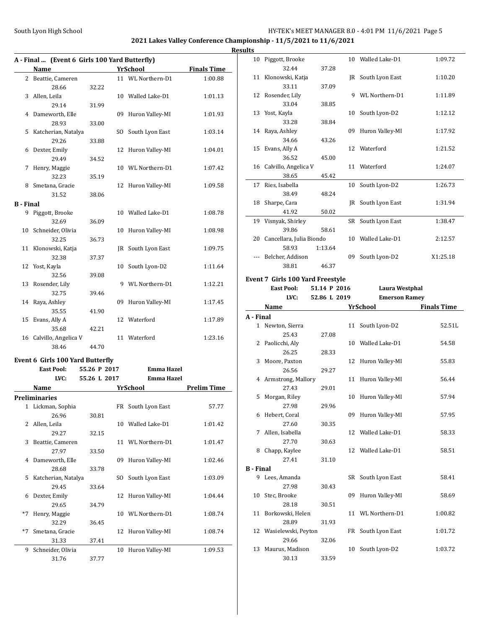**Preliminaries**

26.96 30.81

29.27 32.15

27.97 33.50

28.68 33.78

29.45 33.64

29.65 34.79

32.29 36.45

31.33 37.41

31.76 37.77

### South Lyon High School **HY-TEK's MEET MANAGER 8.0 - 4:01 PM 11/6/2021** Page 5

10 Piggott, Brooke 10 Walled Lake-D1 1:09.72

**2021 Lakes Valley Conference Championship - 11/5/2021 to 11/6/2021**

|           |                                               |              |                    |                    | <b>Results</b> |
|-----------|-----------------------------------------------|--------------|--------------------|--------------------|----------------|
|           | A - Final  (Event 6 Girls 100 Yard Butterfly) |              |                    |                    |                |
|           | <b>Name</b>                                   |              | <b>YrSchool</b>    | <b>Finals Time</b> |                |
| 2         | Beattie, Cameren                              |              | 11 WL Northern-D1  | 1:00.88            |                |
|           | 28.66                                         | 32.22        |                    |                    |                |
| 3         | Allen, Leila                                  |              | 10 Walled Lake-D1  | 1:01.13            |                |
|           | 29.14                                         | 31.99        |                    |                    |                |
| 4         | Dameworth, Elle                               |              | 09 Huron Valley-MI | 1:01.93            |                |
|           | 28.93                                         | 33.00        |                    |                    |                |
| 5         | Katcherian, Natalya                           |              | SO South Lyon East | 1:03.14            |                |
|           | 29.26                                         | 33.88        |                    |                    |                |
| 6         | Dexter, Emily                                 |              | 12 Huron Valley-MI | 1:04.01            |                |
|           | 29.49                                         | 34.52        |                    |                    |                |
| 7         | Henry, Maggie                                 |              | 10 WL Northern-D1  | 1:07.42            |                |
|           | 32.23                                         | 35.19        |                    |                    |                |
| 8         | Smetana, Gracie                               |              | 12 Huron Valley-MI | 1:09.58            | 1              |
|           | 31.52                                         | 38.06        |                    |                    |                |
| B - Final |                                               |              |                    |                    |                |
| 9.        | Piggott, Brooke                               |              | 10 Walled Lake-D1  | 1:08.78            |                |
|           | 32.69                                         | 36.09        |                    |                    | 1              |
| 10        | Schneider, Olivia                             |              | 10 Huron Valley-MI | 1:08.98            |                |
|           | 32.25                                         | 36.73        |                    |                    |                |
| 11        | Klonowski, Katja                              |              | JR South Lyon East | 1:09.75            |                |
|           | 32.38                                         | 37.37        |                    |                    |                |
| 12        | Yost, Kayla                                   |              | 10 South Lyon-D2   | 1:11.64            |                |
|           | 32.56                                         | 39.08        |                    |                    | Eve            |
| 13        | Rosender, Lily                                |              | 9 WL Northern-D1   | 1:12.21            |                |
|           | 32.75                                         | 39.46        |                    |                    |                |
| 14        | Raya, Ashley                                  |              | 09 Huron Valley-MI | 1:17.45            |                |
|           | 35.55                                         | 41.90        |                    |                    | $A -$          |
| 15        | Evans, Ally A                                 |              | 12 Waterford       | 1:17.89            |                |
|           | 35.68                                         | 42.21        |                    |                    |                |
|           | 16 Calvillo, Angelica V                       |              | 11 Waterford       | 1:23.16            |                |
|           | 38.46                                         | 44.70        |                    |                    |                |
|           | <b>Event 6 Girls 100 Yard Butterfly</b>       |              |                    |                    |                |
|           | <b>East Pool:</b>                             | 55.26 P 2017 | <b>Emma Hazel</b>  |                    |                |
|           | LVC:                                          | 55.26 L 2017 | <b>Emma Hazel</b>  |                    |                |

**Name Prelim Time Prelim Time** 

1 Lickman, Sophia FR South Lyon East 57.77

2 Allen, Leila 10 Walled Lake-D1 1:01.42

3 Beattie, Cameren 11 WL Northern-D1 1:01.47

4 Dameworth, Elle 09 Huron Valley-MI 1:02.46

5 Katcherian, Natalya SO South Lyon East 1:03.09

6 Dexter, Emily 12 Huron Valley-MI 1:04.44

\*7 Henry, Maggie 10 WL Northern-D1 1:08.74

\*7 Smetana, Gracie 12 Huron Valley-MI 1:08.74

9 Schneider, Olivia 10 Huron Valley-MI 1:09.53

|                  | 32.44                                   | 37.28        |    |                      |                    |
|------------------|-----------------------------------------|--------------|----|----------------------|--------------------|
|                  | 11 Klonowski, Katja                     |              |    | JR South Lyon East   | 1:10.20            |
|                  | 33.11                                   | 37.09        |    |                      |                    |
| 12               | Rosender, Lily                          |              | 9  | WL Northern-D1       | 1:11.89            |
|                  | 33.04                                   | 38.85        |    |                      |                    |
| 13               | Yost, Kayla                             |              | 10 | South Lyon-D2        | 1:12.12            |
|                  | 33.28                                   | 38.84        |    |                      |                    |
| 14               | Raya, Ashley                            |              | 09 | Huron Valley-MI      | 1:17.92            |
|                  | 34.66                                   |              |    |                      |                    |
|                  |                                         | 43.26        |    |                      |                    |
| 15               | Evans, Ally A                           |              |    | 12 Waterford         | 1:21.52            |
|                  | 36.52                                   | 45.00        |    |                      |                    |
| 16               | Calvillo, Angelica V                    |              | 11 | Waterford            | 1:24.07            |
|                  | 38.65                                   | 45.42        |    |                      |                    |
| 17               | Ries, Isabella                          |              | 10 | South Lyon-D2        | 1:26.73            |
|                  | 38.49                                   | 48.24        |    |                      |                    |
| 18               | Sharpe, Cara                            |              |    | JR South Lyon East   | 1:31.94            |
|                  | 41.92                                   | 50.02        |    |                      |                    |
| 19               | Visnyak, Shirley                        |              |    | SR South Lyon East   | 1:38.47            |
|                  | 39.86                                   | 58.61        |    |                      |                    |
|                  | 20 Cancellara, Julia Biondo             |              | 10 | Walled Lake-D1       | 2:12.57            |
|                  | 58.93                                   | 1:13.64      |    |                      |                    |
| $\overline{a}$   | Belcher, Addison                        |              | 09 | South Lyon-D2        | X1:25.18           |
|                  |                                         |              |    |                      |                    |
|                  | 38.81                                   | 46.37        |    |                      |                    |
|                  | <b>Event 7 Girls 100 Yard Freestyle</b> |              |    |                      |                    |
|                  | <b>East Pool:</b>                       | 51.14 P 2016 |    | Laura Westphal       |                    |
|                  | LVC:                                    | 52.86 L 2019 |    | <b>Emerson Ramey</b> |                    |
|                  | Name                                    |              |    | YrSchool             | <b>Finals Time</b> |
|                  |                                         |              |    |                      |                    |
|                  |                                         |              |    |                      |                    |
|                  |                                         |              |    |                      |                    |
|                  | 1 Newton, Sierra                        |              | 11 | South Lyon-D2        | 52.51L             |
|                  | 25.43                                   | 27.08        |    |                      |                    |
| 2                | Paolicchi, Aly                          |              | 10 | Walled Lake-D1       | 54.58              |
|                  | 26.25                                   | 28.33        |    |                      |                    |
| 3                | Moore, Paxton                           |              | 12 | Huron Valley-MI      | 55.83              |
|                  | 26.56                                   | 29.27        |    |                      |                    |
| A - Final        | 4 Armstrong, Mallory                    |              | 11 | Huron Valley-MI      | 56.44              |
|                  | 27.43                                   | 29.01        |    |                      |                    |
| 5                | Morgan, Riley                           |              | 10 | Huron Valley-MI      | 57.94              |
|                  | 27.98                                   | 29.96        |    |                      |                    |
| 6                | Hebert, Coral                           |              |    | 09 Huron Valley-MI   | 57.95              |
|                  |                                         |              |    |                      |                    |
| 7                | 27.60                                   | 30.35        |    |                      |                    |
|                  | Allen, Isabella                         |              |    | 12 Walled Lake-D1    | 58.33              |
|                  | 27.70                                   | 30.63        |    |                      |                    |
| 8                | Chapp, Kaylee                           |              |    | 12 Walled Lake-D1    | 58.51              |
|                  | 27.41                                   | 31.10        |    |                      |                    |
| <b>B</b> - Final |                                         |              |    |                      |                    |
|                  | 9 Lees, Amanda                          |              |    | SR South Lyon East   | 58.41              |
|                  | 27.98                                   | 30.43        |    |                      |                    |
| 10               | Stec, Brooke                            |              | 09 | Huron Valley-MI      | 58.69              |
|                  | 28.18                                   | 30.51        |    |                      |                    |
| 11               | Borkowski, Helen                        |              |    | 11 WL Northern-D1    | 1:00.82            |
|                  | 28.89                                   | 31.93        |    |                      |                    |
| 12               | Wasielewski, Peyton                     |              | FR | South Lyon East      | 1:01.72            |
|                  | 29.66                                   | 32.06        |    |                      |                    |
| 13               | Maurus, Madison                         |              | 10 | South Lyon-D2        | 1:03.72            |
|                  | 30.13                                   | 33.59        |    |                      |                    |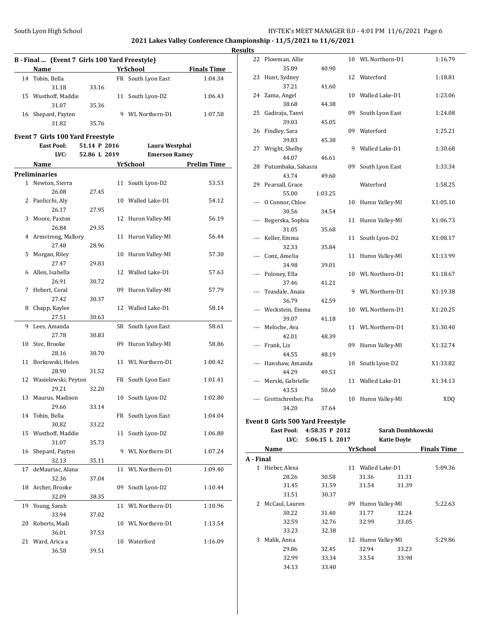# South Lyon High School **HY-TEK's MEET MANAGER 8.0 - 4:01 PM 11/6/2021** Page 6

**2021 Lakes Valley Conference Championship - 11/5/2021 to 11/6/2021**

|       | B - Final  (Event 7 Girls 100 Yard Freestyle) |              |    |                      |                    |
|-------|-----------------------------------------------|--------------|----|----------------------|--------------------|
|       | Name                                          |              |    | <b>YrSchool</b>      | <b>Finals Time</b> |
|       | 14 Tobin, Bella                               |              |    | FR South Lyon East   | 1:04.34            |
|       | 31.18                                         | 33.16        |    |                      |                    |
|       | 15 Wusthoff, Maddie                           |              | 11 | South Lyon-D2        | 1:06.43            |
|       | 31.07                                         | 35.36        |    |                      |                    |
| 16    | Shepard, Payten                               |              |    | 9 WL Northern-D1     | 1:07.58            |
|       | 31.82                                         | 35.76        |    |                      |                    |
|       | Event 7 Girls 100 Yard Freestyle              |              |    |                      |                    |
|       | <b>East Pool:</b>                             | 51.14 P 2016 |    | Laura Westphal       |                    |
|       | LVC:                                          | 52.86 L 2019 |    | <b>Emerson Ramey</b> |                    |
|       | Name                                          |              |    | YrSchool             | <b>Prelim Time</b> |
|       | <b>Preliminaries</b>                          |              |    |                      |                    |
| $1\,$ | Newton, Sierra                                |              | 11 | South Lyon-D2        | 53.53              |
|       | 26.08                                         | 27.45        |    |                      |                    |
|       | 2 Paolicchi, Aly                              |              | 10 | Walled Lake-D1       | 54.12              |
|       | 26.17                                         | 27.95        |    |                      |                    |
| 3     | Moore, Paxton                                 |              | 12 | Huron Valley-MI      | 56.19              |
|       | 26.84                                         | 29.35        |    |                      |                    |
|       | 4 Armstrong, Mallory                          |              | 11 | Huron Valley-MI      | 56.44              |
|       | 27.48                                         | 28.96        |    |                      |                    |
| 5     | Morgan, Riley                                 |              | 10 | Huron Valley-MI      | 57.30              |
|       | 27.47                                         | 29.83        |    |                      |                    |
| 6     | Allen, Isabella                               |              | 12 | Walled Lake-D1       | 57.63              |
|       | 26.91                                         | 30.72        |    |                      |                    |
| 7     | Hebert, Coral                                 |              | 09 | Huron Valley-MI      | 57.79              |
|       | 27.42                                         | 30.37        |    |                      |                    |
| 8     | Chapp, Kaylee                                 |              | 12 | Walled Lake-D1       | 58.14              |
|       | 27.51                                         | 30.63        |    |                      |                    |
| 9     | Lees, Amanda                                  |              | SR | South Lyon East      | 58.61              |
|       | 27.78                                         | 30.83        |    |                      |                    |
| 10    | Stec, Brooke                                  |              | 09 | Huron Valley-MI      | 58.86              |
|       | 28.16                                         | 30.70        |    |                      |                    |
| 11    | Borkowski, Helen                              |              |    | 11 WL Northern-D1    | 1:00.42            |
|       | 28.90                                         | 31.52        |    |                      |                    |
| 12    | Wasielewski, Peyton                           |              | FR | South Lyon East      | 1:01.41            |
|       | 29.21                                         | 32.20        |    |                      |                    |
| 13    | Maurus, Madison                               |              | 10 | South Lyon-D2        | 1:02.80            |
|       | 29.66                                         | 33.14        |    |                      |                    |
| 14    | Tobin, Bella                                  |              | FR | South Lyon East      | 1:04.04            |
|       | 30.82                                         | 33.22        |    |                      |                    |
| 15    | Wusthoff, Maddie                              |              | 11 | South Lyon-D2        | 1:06.80            |
|       | 31.07                                         | 35.73        |    |                      |                    |
| 16    | Shepard, Payten                               |              | 9  | WL Northern-D1       | 1:07.24            |
|       | 32.13                                         | 35.11        |    |                      |                    |
| 17    | deMauriac, Alana                              |              | 11 | WL Northern-D1       | 1:09.40            |
|       | 32.36                                         | 37.04        |    |                      |                    |
| 18    | Archer, Brooke                                |              | 09 | South Lyon-D2        | 1:10.44            |
|       | 32.09                                         | 38.35        |    |                      |                    |
| 19    | Young, Sarah                                  |              | 11 | WL Northern-D1       | 1:10.96            |
|       | 33.94                                         | 37.02        |    |                      |                    |
| 20    | Roberts, Madi                                 |              | 10 | WL Northern-D1       | 1:13.54            |
|       | 36.01                                         | 37.53        |    |                      |                    |
| 21    | Ward, Arica a                                 |              | 10 | Waterford            | 1:16.09            |
|       | 36.58                                         | 39.51        |    |                      |                    |
|       |                                               |              |    |                      |                    |

| սււթ           |                                  |                |    |                    |                    |
|----------------|----------------------------------|----------------|----|--------------------|--------------------|
| 22             | Plowman, Allie                   |                | 10 | WL Northern-D1     | 1:16.79            |
|                | 35.89                            | 40.90          |    |                    |                    |
| 23             | Hunt, Sydney                     |                |    | 12 Waterford       | 1:18.81            |
|                | 37.21                            | 41.60          |    |                    |                    |
|                | 24 Zama, Angel                   |                | 10 | Walled Lake-D1     | 1:23.06            |
|                | 38.68                            | 44.38          |    |                    |                    |
| 25             | Gadiraju, Tanvi                  |                | 09 | South Lyon East    | 1:24.08            |
|                | 39.03                            | 45.05          |    |                    |                    |
| 26             | Findley, Sara                    |                | 09 | Waterford          | 1:25.21            |
|                | 39.83                            | 45.38          |    |                    |                    |
| 27             | Wright, Shelby                   |                | 9  | Walled Lake-D1     | 1:30.68            |
|                | 44.07                            | 46.61          |    |                    |                    |
|                | 28 Putumbaka, Sahasra            |                | 09 | South Lyon East    | 1:33.34            |
|                | 43.74                            | 49.60          |    |                    |                    |
| 29             | Pearsall, Grace                  |                |    | Waterford          | 1:58.25            |
|                | 55.00                            | 1:03.25        |    |                    |                    |
|                | O Connor, Chloe                  |                | 10 | Huron Valley-MI    | X1:05.10           |
|                | 30.56                            | 34.54          |    |                    |                    |
|                | Begerska, Sophia                 |                | 11 | Huron Valley-MI    | X1:06.73           |
|                | 31.05                            | 35.68          |    |                    |                    |
|                | Keller, Emma                     |                | 11 | South Lyon-D2      | X1:08.17           |
|                | 32.33                            | 35.84          |    |                    |                    |
| $\overline{a}$ | Conz, Amelia                     |                | 11 | Huron Valley-MI    | X1:13.99           |
|                | 34.98                            | 39.01          |    |                    |                    |
|                | Poloney, Ella                    |                | 10 | WL Northern-D1     | X1:18.67           |
|                | 37.46                            | 41.21          |    |                    |                    |
| ---            | Teasdale, Anaia                  |                | 9  | WL Northern-D1     | X1:19.38           |
|                | 36.79                            | 42.59          |    |                    |                    |
|                | Weckstein, Emma                  |                | 10 | WL Northern-D1     | X1:20.25           |
|                | 39.07                            | 41.18          |    |                    |                    |
| ---            | Meloche, Ava                     |                | 11 | WL Northern-D1     | X1:30.40           |
|                | 42.01                            | 48.39          |    |                    |                    |
|                | Frank, Liz                       |                | 09 | Huron Valley-MI    | X1:32.74           |
|                | 44.55                            | 48.19          |    |                    |                    |
|                | --- Hanshaw, Amanda              |                | 10 | South Lyon-D2      | X1:33.82           |
|                | 44.29                            | 49.53          |    |                    |                    |
|                | Merski, Gabrielle                |                | 11 | Walled Lake-D1     | X1:34.13           |
|                | 43.53                            | 50.60          |    |                    |                    |
| ---            | Grottschreiber, Pia              |                | 10 | Huron Valley-MI    | <b>XDQ</b>         |
|                | 34.20                            | 37.64          |    |                    |                    |
|                | Event 8 Girls 500 Yard Freestyle |                |    |                    |                    |
|                | <b>East Pool:</b>                | 4:58.35 P 2012 |    | Sarah Dombkowski   |                    |
|                | LVC:                             | 5:06.15 L 2017 |    | <b>Katie Doyle</b> |                    |
|                | Name                             |                |    | <b>YrSchool</b>    | <b>Finals Time</b> |
| A - Final      |                                  |                |    |                    |                    |
| 1              | Hieber, Alexa                    |                |    | 11 Walled Lake-D1  | 5:09.36            |
|                | 28.26                            | 30.58          |    | 31.36<br>31.31     |                    |
|                | 31.45                            | 31.59          |    | 31.54<br>31.39     |                    |
|                | 31.51                            | 30.37          |    |                    |                    |
|                | 2 McCaul, Lauren                 |                |    | 09 Huron Valley-MI | 5:22.63            |
|                | 30.22                            | 31.40          |    | 31.77<br>32.24     |                    |
|                | 32.59                            | 32.76          |    | 32.99<br>33.05     |                    |
|                | 33.23                            | 32.38          |    |                    |                    |
| 3              | Malik, Anna                      |                |    | 12 Huron Valley-MI | 5:29.86            |
|                | 29.86                            | 32.45          |    | 32.94<br>33.23     |                    |
|                |                                  |                |    |                    |                    |
|                | 32.99                            | 33.34          |    | 33.54<br>33.98     |                    |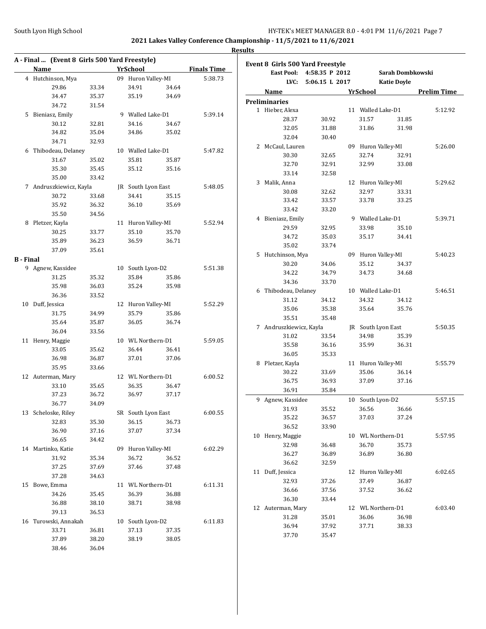|           |                                               |       |                    |       |                    | <b>Results</b> |                           |                                  |                             |                    |                    |
|-----------|-----------------------------------------------|-------|--------------------|-------|--------------------|----------------|---------------------------|----------------------------------|-----------------------------|--------------------|--------------------|
|           | A - Final  (Event 8 Girls 500 Yard Freestyle) |       |                    |       |                    |                |                           | Event 8 Girls 500 Yard Freestyle |                             |                    |                    |
|           | Name                                          |       | <b>YrSchool</b>    |       | <b>Finals Time</b> |                |                           | East Pool: 4:58.35 P 2012        |                             | Sarah Dombkowski   |                    |
|           | 4 Hutchinson, Mya                             |       | 09 Huron Valley-MI |       | 5:38.73            |                |                           | LVC: 5:06.15 L 2017              |                             | <b>Katie Doyle</b> |                    |
|           | 29.86                                         | 33.34 | 34.91              | 34.64 |                    |                | Name                      |                                  | YrSchool                    |                    | <b>Prelim Time</b> |
|           | 34.47                                         | 35.37 | 35.19              | 34.69 |                    |                | <b>Preliminaries</b>      |                                  |                             |                    |                    |
|           | 34.72                                         | 31.54 |                    |       |                    |                | 1 Hieber, Alexa           |                                  | 11 Walled Lake-D1           |                    | 5:12.92            |
|           | 5 Bieniasz, Emily                             |       | 9 Walled Lake-D1   |       | 5:39.14            |                | 28.37                     | 30.92                            | 31.57                       |                    |                    |
|           | 30.12                                         | 32.81 | 34.16              | 34.67 |                    |                | 32.05                     | 31.88                            | 31.86                       | 31.85<br>31.98     |                    |
|           | 34.82                                         | 35.04 | 34.86              | 35.02 |                    |                | 32.04                     | 30.40                            |                             |                    |                    |
|           | 34.71                                         | 32.93 |                    |       |                    |                |                           |                                  |                             |                    | 5:26.00            |
|           | 6 Thibodeau, Delaney                          |       | 10 Walled Lake-D1  |       | 5:47.82            |                | 2 McCaul, Lauren<br>30.30 | 32.65                            | 09 Huron Valley-MI<br>32.74 | 32.91              |                    |
|           | 31.67                                         | 35.02 | 35.81              | 35.87 |                    |                |                           |                                  | 32.99                       |                    |                    |
|           | 35.30                                         | 35.45 | 35.12              | 35.16 |                    |                | 32.70                     | 32.91<br>32.58                   |                             | 33.08              |                    |
|           | 35.00                                         | 33.42 |                    |       |                    |                | 33.14                     |                                  |                             |                    |                    |
|           | 7 Andruszkiewicz, Kayla                       |       | JR South Lyon East |       | 5:48.05            |                | 3 Malik, Anna             |                                  | 12 Huron Valley-MI          |                    | 5:29.62            |
|           | 30.72                                         | 33.68 | 34.41              | 35.15 |                    |                | 30.08                     | 32.62                            | 32.97                       | 33.31              |                    |
|           | 35.92                                         | 36.32 | 36.10              | 35.69 |                    |                | 33.42                     | 33.57                            | 33.78                       | 33.25              |                    |
|           | 35.50                                         | 34.56 |                    |       |                    |                | 33.42                     | 33.20                            |                             |                    |                    |
|           | 8 Pletzer, Kayla                              |       | 11 Huron Valley-MI |       | 5:52.94            |                | 4 Bieniasz, Emily         |                                  | 9 Walled Lake-D1            |                    | 5:39.71            |
|           | 30.25                                         | 33.77 | 35.10              | 35.70 |                    |                | 29.59                     | 32.95                            | 33.98                       | 35.10              |                    |
|           | 35.89                                         | 36.23 | 36.59              | 36.71 |                    |                | 34.72                     | 35.03                            | 35.17                       | 34.41              |                    |
|           | 37.09                                         | 35.61 |                    |       |                    |                | 35.02                     | 33.74                            |                             |                    |                    |
| B - Final |                                               |       |                    |       |                    |                | 5 Hutchinson, Mya         |                                  | 09 Huron Valley-MI          |                    | 5:40.23            |
|           | 9 Agnew, Kassidee                             |       | 10 South Lyon-D2   |       | 5:51.38            |                | 30.20                     | 34.06                            | 35.12                       | 34.37              |                    |
|           | 31.25                                         | 35.32 | 35.84              | 35.86 |                    |                | 34.22                     | 34.79                            | 34.73                       | 34.68              |                    |
|           | 35.98                                         | 36.03 | 35.24              | 35.98 |                    |                | 34.36                     | 33.70                            |                             |                    |                    |
|           | 36.36                                         | 33.52 |                    |       |                    |                | 6 Thibodeau, Delaney      |                                  | 10 Walled Lake-D1           |                    | 5:46.51            |
|           | 10 Duff, Jessica                              |       | 12 Huron Valley-MI |       | 5:52.29            |                | 31.12                     | 34.12                            | 34.32                       | 34.12              |                    |
|           | 31.75                                         | 34.99 | 35.79              | 35.86 |                    |                | 35.06                     | 35.38                            | 35.64                       | 35.76              |                    |
|           | 35.64                                         | 35.87 | 36.05              | 36.74 |                    |                | 35.51                     | 35.48                            |                             |                    |                    |
|           | 36.04                                         | 33.56 |                    |       |                    |                | 7 Andruszkiewicz, Kayla   |                                  | JR South Lyon East          |                    | 5:50.35            |
|           | 11 Henry, Maggie                              |       | 10 WL Northern-D1  |       | 5:59.05            |                | 31.02                     | 33.54                            | 34.98                       | 35.39              |                    |
|           | 33.05                                         | 35.62 | 36.44              | 36.41 |                    |                | 35.58                     | 36.16                            | 35.99                       | 36.31              |                    |
|           | 36.98                                         | 36.87 | 37.01              | 37.06 |                    |                | 36.05                     | 35.33                            |                             |                    |                    |
|           | 35.95                                         | 33.66 |                    |       |                    |                | 8 Pletzer, Kayla          |                                  | 11 Huron Valley-MI          |                    | 5:55.79            |
|           | 12 Auterman, Mary                             |       | 12 WL Northern-D1  |       | 6:00.52            |                | 30.22                     | 33.69                            | 35.06                       | 36.14              |                    |
|           | 33.10                                         | 35.65 | 36.35              | 36.47 |                    |                | 36.75                     | 36.93                            | 37.09                       | 37.16              |                    |
|           | 37.23                                         | 36.72 | 36.97              | 37.17 |                    |                | 36.91                     | 35.84                            |                             |                    |                    |
|           | 36.77                                         | 34.09 |                    |       |                    |                | 9 Agnew, Kassidee         |                                  | 10 South Lyon-D2            |                    | 5:57.15            |
|           | 13 Scheloske, Riley                           |       | SR South Lyon East |       | 6:00.55            |                | 31.93                     | 35.52                            | 36.56                       | 36.66              |                    |
|           | 32.83                                         | 35.30 | 36.15              | 36.73 |                    |                | 35.22                     | 36.57                            | 37.03                       | 37.24              |                    |
|           | 36.90                                         | 37.16 | 37.07              | 37.34 |                    |                | 36.52                     | 33.90                            |                             |                    |                    |
|           | 36.65                                         | 34.42 |                    |       |                    |                | 10 Henry, Maggie          |                                  | 10 WL Northern-D1           |                    | 5:57.95            |
|           | 14 Martinko, Katie                            |       | 09 Huron Valley-MI |       | 6:02.29            |                | 32.98                     | 36.48                            | 36.70                       | 35.73              |                    |
|           | 31.92                                         | 35.34 | 36.72              | 36.52 |                    |                | 36.27                     | 36.89                            | 36.89                       | 36.80              |                    |
|           | 37.25                                         | 37.69 | 37.46              | 37.48 |                    |                | 36.62                     | 32.59                            |                             |                    |                    |
|           | 37.28                                         | 34.63 |                    |       |                    |                | 11 Duff, Jessica          |                                  | 12 Huron Valley-MI          |                    | 6:02.65            |
|           | 15 Bowe, Emma                                 |       | 11 WL Northern-D1  |       | 6:11.31            |                | 32.93                     | 37.26                            | 37.49                       | 36.87              |                    |
|           | 34.26                                         | 35.45 | 36.39              | 36.88 |                    |                | 36.66                     | 37.56                            | 37.52                       | 36.62              |                    |
|           | 36.88                                         | 38.10 | 38.71              | 38.98 |                    |                | 36.30                     | 33.44                            |                             |                    |                    |
|           | 39.13                                         | 36.53 |                    |       |                    |                | 12 Auterman, Mary         |                                  | 12 WL Northern-D1           |                    | 6:03.40            |
|           | 16 Turowski, Annakah                          |       | 10 South Lyon-D2   |       | 6:11.83            |                | 31.28                     | 35.01                            | 36.06                       | 36.98              |                    |
|           | 33.71                                         | 36.81 | 37.13              | 37.35 |                    |                | 36.94                     | 37.92                            | 37.71                       | 38.33              |                    |
|           | 37.89                                         | 38.20 | 38.19              | 38.05 |                    |                | 37.70                     | 35.47                            |                             |                    |                    |
|           | 38.46                                         | 36.04 |                    |       |                    |                |                           |                                  |                             |                    |                    |
|           |                                               |       |                    |       |                    |                |                           |                                  |                             |                    |                    |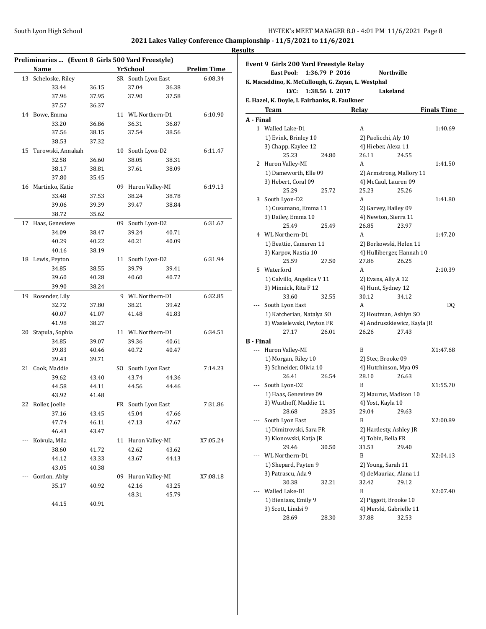**A - Final**

**B - Final**

# **Results Preliminaries ... (Event 8 Girls 500 Yard Freestyle) Name Yr School Prelim Time** 13 Scheloske, Riley SR South Lyon East 6:08.34 33.44 36.15 37.04 36.38 37.96 37.95 37.90 37.58 37.57 36.37 14 Bowe, Emma 11 WL Northern-D1 6:10.90 33.20 36.86 36.31 36.87 37.56 38.15 37.54 38.56 38.53 37.32 15 Turowski, Annakah 10 South Lyon-D2 6:11.47 32.58 36.60 38.05 38.31 38.17 38.81 37.61 38.09 37.80 35.45 16 Martinko, Katie 09 Huron Valley-MI 6:19.13 33.48 37.53 38.24 38.78 39.06 39.39 39.47 38.84 38.72 35.62 17 Haas, Genevieve 09 South Lyon-D2 6:31.67 34.09 38.47 39.24 40.71 40.29 40.22 40.21 40.09 40.16 38.19 18 Lewis, Peyton 11 South Lyon-D2 6:31.94 34.85 38.55 39.79 39.41 39.60 40.28 40.60 40.72 39.90 38.24 19 Rosender, Lily 9 WL Northern-D1 6:32.85 32.72 37.80 38.21 39.42 40.07 41.07 41.48 41.83 41.98 38.27 20 Stapula, Sophia 11 WL Northern-D1 6:34.51 34.85 39.07 39.36 40.61 39.83 40.46 40.72 40.47 39.43 39.71 21 Cook, Maddie SO South Lyon East 7:14.23 39.62 43.40 43.74 44.36 44.58 44.11 44.56 44.46 43.92 41.48 22 Roller, Joelle FR South Lyon East 7:31.86 37.16 43.45 45.04 47.66 47.74 46.11 47.13 47.67 46.43 43.47 --- Koivula, Mila 11 Huron Valley-MI X7:05.24 38.60 41.72 42.62 43.62 44.12 43.33 43.67 44.13 43.05 40.38 --- Gordon, Abby 09 Huron Valley-MI X7:08.18

35.17 40.92 42.16 43.25

44.15 40.91

48.31 45.79

|           | Event 9  Girls 200 Yard Freestyle Relay<br><b>East Pool:</b> | 1:36.79 P 2016 |                      | Northville                  |                    |
|-----------|--------------------------------------------------------------|----------------|----------------------|-----------------------------|--------------------|
|           | K. Macaddino, K. McCullough, G. Zayan, L. Westphal           |                |                      |                             |                    |
|           | LVC:                                                         | 1:38.56 L 2017 |                      | Lakeland                    |                    |
|           | E. Hazel, K. Doyle, I. Fairbanks, R. Faulkner                |                |                      |                             |                    |
|           | <b>Team</b>                                                  |                | <b>Relay</b>         |                             | <b>Finals Time</b> |
| A - Final |                                                              |                |                      |                             |                    |
|           | 1 Walled Lake-D1                                             |                | A                    |                             | 1:40.69            |
|           | 1) Evink, Brinley 10                                         |                | 2) Paolicchi, Aly 10 |                             |                    |
|           | 3) Chapp, Kaylee 12                                          |                | 4) Hieber, Alexa 11  |                             |                    |
|           | 25.23                                                        | 24.80          | 26.11                | 24.55                       |                    |
| 2         | Huron Valley-MI                                              |                | A                    |                             | 1:41.50            |
|           | 1) Dameworth, Elle 09                                        |                |                      | 2) Armstrong, Mallory 11    |                    |
|           | 3) Hebert, Coral 09                                          |                |                      | 4) McCaul, Lauren 09        |                    |
|           | 25.29                                                        | 25.72          | 25.23                | 25.26                       |                    |
| 3         | South Lyon-D2                                                |                | A                    |                             | 1:41.80            |
|           | 1) Cusumano, Emma 11                                         |                |                      | 2) Garvey, Hailey 09        |                    |
|           | 3) Dailey, Emma 10                                           |                |                      | 4) Newton, Sierra 11        |                    |
|           | 25.49                                                        | 25.49          | 26.85                | 23.97                       |                    |
| 4         | WL Northern-D1                                               |                | A                    |                             | 1:47.20            |
|           | 1) Beattie, Cameren 11                                       |                |                      | 2) Borkowski, Helen 11      |                    |
|           | 3) Karpov, Nastia 10                                         |                |                      | 4) Hulliberger, Hannah 10   |                    |
|           | 25.59                                                        | 27.50          | 27.86                | 26.25                       |                    |
| 5         | Waterford                                                    |                | A                    |                             | 2:10.39            |
|           | 1) Calvillo, Angelica V 11                                   |                | 2) Evans, Ally A 12  |                             |                    |
|           | 3) Minnick, Rita F 12                                        |                | 4) Hunt, Sydney 12   |                             |                    |
|           | 33.60                                                        | 32.55          | 30.12                | 34.12                       |                    |
|           |                                                              |                | A                    |                             |                    |
| ---       | South Lyon East                                              |                |                      |                             | DQ                 |
|           | 1) Katcherian, Natalya SO                                    |                |                      | 2) Houtman, Ashlyn SO       |                    |
|           | 3) Wasielewski, Peyton FR                                    |                |                      | 4) Andruszkiewicz, Kayla JR |                    |
|           | 27.17                                                        | 26.01          | 26.26                | 27.43                       |                    |
| B - Final |                                                              |                |                      |                             |                    |
|           | Huron Valley-MI                                              |                | B                    |                             | X1:47.68           |
|           | 1) Morgan, Riley 10                                          |                | 2) Stec, Brooke 09   |                             |                    |
|           | 3) Schneider, Olivia 10                                      |                |                      | 4) Hutchinson, Mya 09       |                    |
|           | 26.41                                                        | 26.54          | 28.10                | 26.63                       |                    |
| ---       | South Lyon-D2                                                |                | B                    |                             | X1:55.70           |
|           | 1) Haas, Genevieve 09                                        |                |                      | 2) Maurus, Madison 10       |                    |
|           | 3) Wusthoff, Maddie 11                                       |                | 4) Yost, Kayla 10    |                             |                    |
|           | 28.68                                                        | 28.35          | 29.04 29.63          |                             |                    |
|           | South Lyon East                                              |                | B                    |                             | X2:00.89           |
|           | 1) Dimitrovski, Sara FR                                      |                |                      | 2) Hardesty, Ashley JR      |                    |
|           | 3) Klonowski, Katja JR                                       |                | 4) Tobin, Bella FR   |                             |                    |
|           | 29.46                                                        | 30.50          | 31.53                | 29.40                       |                    |
|           | WL Northern-D1                                               |                | B                    |                             | X2:04.13           |
|           | 1) Shepard, Payten 9                                         |                | 2) Young, Sarah 11   |                             |                    |
|           | 3) Patrascu, Ada 9                                           |                |                      | 4) deMauriac, Alana 11      |                    |
|           | 30.38                                                        | 32.21          | 32.42                | 29.12                       |                    |
|           | Walled Lake-D1                                               |                | B                    |                             | X2:07.40           |
|           | 1) Bieniasz, Emily 9                                         |                |                      | 2) Piggott, Brooke 10       |                    |
|           | 3) Scott, Lindsi 9                                           |                |                      | 4) Merski, Gabrielle 11     |                    |
|           | 28.69                                                        | 28.30          | 37.88                | 32.53                       |                    |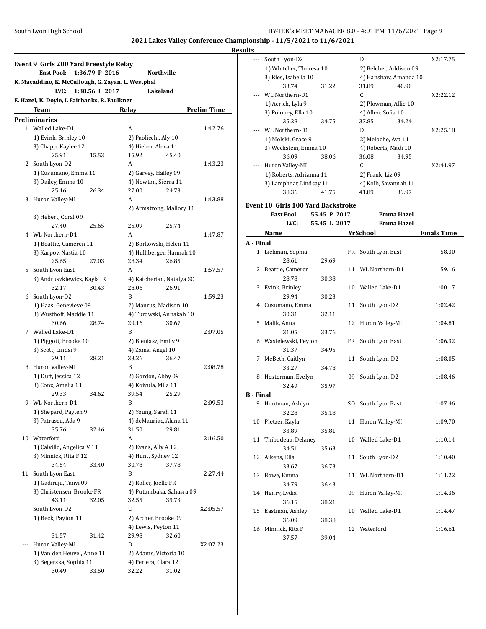|     | Event 9 Girls 200 Yard Freestyle Relay                     |                |                             |       |                    |
|-----|------------------------------------------------------------|----------------|-----------------------------|-------|--------------------|
|     | <b>East Pool:</b>                                          | 1:36.79 P 2016 | Northville                  |       |                    |
|     | K. Macaddino, K. McCullough, G. Zayan, L. Westphal<br>LVC: | 1:38.56 L 2017 | Lakeland                    |       |                    |
|     | E. Hazel, K. Doyle, I. Fairbanks, R. Faulkner              |                |                             |       |                    |
|     | Team                                                       |                | Relay                       |       | <b>Prelim Time</b> |
|     | <b>Preliminaries</b>                                       |                |                             |       |                    |
|     | 1 Walled Lake-D1                                           |                | A                           |       | 1:42.76            |
|     | 1) Evink, Brinley 10                                       |                | 2) Paolicchi, Aly 10        |       |                    |
|     | 3) Chapp, Kaylee 12                                        |                | 4) Hieber, Alexa 11         |       |                    |
|     | 25.91                                                      | 15.53          | 15.92                       | 45.40 |                    |
|     | 2 South Lyon-D2                                            |                | A                           |       | 1:43.23            |
|     | 1) Cusumano, Emma 11                                       |                | 2) Garvey, Hailey 09        |       |                    |
|     | 3) Dailey, Emma 10                                         |                | 4) Newton, Sierra 11        |       |                    |
|     | 25.16                                                      | 26.34          | 27.00                       | 24.73 |                    |
| 3   | Huron Valley-MI                                            |                | A                           |       | 1:43.88            |
|     |                                                            |                | 2) Armstrong, Mallory 11    |       |                    |
|     | 3) Hebert, Coral 09                                        |                |                             |       |                    |
|     | 27.40                                                      | 25.65          | 25.09                       | 25.74 |                    |
|     | 4 WL Northern-D1                                           |                | A                           |       | 1:47.87            |
|     | 1) Beattie, Cameren 11                                     |                | 2) Borkowski, Helen 11      |       |                    |
|     | 3) Karpov, Nastia 10                                       |                | 4) Hulliberger, Hannah 10   |       |                    |
| 5   | 25.65<br>South Lyon East                                   | 27.03          | 28.34<br>A                  | 26.85 |                    |
|     | 3) Andruszkiewicz, Kayla JR                                |                | 4) Katcherian, Natalya SO   |       | 1:57.57            |
|     | 32.17                                                      | 30.43          | 28.06                       | 26.91 |                    |
|     | 6 South Lyon-D2                                            |                | B                           |       | 1:59.23            |
|     | 1) Haas, Genevieve 09                                      |                | 2) Maurus, Madison 10       |       |                    |
|     | 3) Wusthoff, Maddie 11                                     |                | 4) Turowski, Annakah 10     |       |                    |
|     | 30.66                                                      | 28.74          | 29.16                       | 30.67 |                    |
|     | 7 Walled Lake-D1                                           |                | B                           |       | 2:07.05            |
|     | 1) Piggott, Brooke 10                                      |                | 2) Bieniasz, Emily 9        |       |                    |
|     | 3) Scott, Lindsi 9                                         |                | 4) Zama, Angel 10           |       |                    |
|     | 29.11                                                      | 28.21          | 33.26                       | 36.47 |                    |
| 8   | Huron Valley-MI                                            |                | B                           |       | 2:08.78            |
|     | 1) Duff, Jessica 12                                        |                | 2) Gordon, Abby 09          |       |                    |
|     | 3) Conz, Amelia 11                                         |                | 4) Koivula, Mila 11         |       |                    |
|     | 29.33                                                      | 34.62          | 39.54                       | 25.29 |                    |
| 9   | WL Northern-D1                                             |                | B                           |       | 2:09.53            |
|     | 1) Shepard, Payten 9                                       |                | 2) Young, Sarah 11          |       |                    |
|     | 3) Patrascu, Ada 9                                         |                | 4) deMauriac, Alana 11      |       |                    |
|     | 35.76                                                      | 32.46          | 31.50                       | 29.81 |                    |
|     | 10 Waterford                                               |                | A                           |       | 2:16.50            |
|     | 1) Calvillo, Angelica V 11                                 |                | 2) Evans, Ally A 12         |       |                    |
|     | 3) Minnick, Rita F 12<br>34.54                             | 33.40          | 4) Hunt, Sydney 12<br>30.78 | 37.78 |                    |
| 11  | South Lyon East                                            |                | B                           |       | 2:27.44            |
|     | 1) Gadiraju, Tanvi 09                                      |                | 2) Roller, Joelle FR        |       |                    |
|     | 3) Christensen, Brooke FR                                  |                | 4) Putumbaka, Sahasra 09    |       |                    |
|     | 43.11                                                      | 32.05          | 32.55                       | 39.73 |                    |
| --- | South Lyon-D2                                              |                | С                           |       | X2:05.57           |
|     | 1) Beck, Payton 11                                         |                | 2) Archer, Brooke 09        |       |                    |
|     |                                                            |                | 4) Lewis, Peyton 11         |       |                    |
|     | 31.57                                                      | 31.42          | 29.98                       | 32.60 |                    |
|     | Huron Valley-MI                                            |                | D                           |       | X2:07.23           |
|     | 1) Van den Heuvel, Anne 11                                 |                | 2) Adams, Victoria 10       |       |                    |
|     | 3) Begerska, Sophia 11                                     |                | 4) Periera, Clara 12        |       |                    |
|     | 30.49                                                      | 33.50          | 32.22                       | 31.02 |                    |
|     |                                                            |                |                             |       |                    |

|                  | --- South Lyon-D2                         |              | D                      | X2:17.75           |
|------------------|-------------------------------------------|--------------|------------------------|--------------------|
|                  | 1) Whitcher, Theresa 10                   |              | 2) Belcher, Addison 09 |                    |
|                  | 3) Ries, Isabella 10                      |              | 4) Hanshaw, Amanda 10  |                    |
|                  | 33.74                                     | 31.22        | 31.89<br>40.90         |                    |
|                  | WL Northern-D1                            |              | C                      | X2:22.12           |
|                  | 1) Acrich, Lyla 9                         |              | 2) Plowman, Allie 10   |                    |
|                  | 3) Poloney, Ella 10                       |              | 4) Allen, Sofia 10     |                    |
|                  | 35.28                                     | 34.75        | 37.85<br>34.24         |                    |
|                  | WL Northern-D1                            |              | D                      | X2:25.18           |
|                  | 1) Molski, Grace 9                        |              | 2) Meloche, Ava 11     |                    |
|                  | 3) Weckstein, Emma 10                     |              | 4) Roberts, Madi 10    |                    |
|                  | 36.09                                     | 38.06        | 36.08<br>34.95         |                    |
|                  | --- Huron Valley-MI                       |              | C                      | X2:41.97           |
|                  | 1) Roberts, Adrianna 11                   |              | 2) Frank, Liz 09       |                    |
|                  | 3) Lamphear, Lindsay 11                   |              | 4) Kolb, Savannah 11   |                    |
|                  | 38.36                                     | 41.75        | 41.89<br>39.97         |                    |
|                  |                                           |              |                        |                    |
|                  | <b>Event 10 Girls 100 Yard Backstroke</b> |              |                        |                    |
|                  | <b>East Pool:</b>                         | 55.45 P 2017 | <b>Emma Hazel</b>      |                    |
|                  | LVC:                                      | 55.45 L 2017 | Emma Hazel             |                    |
|                  | Name                                      |              | YrSchool               | <b>Finals Time</b> |
| A - Final        |                                           |              |                        |                    |
|                  | 1 Lickman, Sophia                         |              | South Lyon East<br>FR  | 58.30              |
|                  | 28.61                                     | 29.69        |                        |                    |
|                  | 2 Beattie, Cameren                        | 11           | WL Northern-D1         | 59.16              |
|                  | 28.78                                     | 30.38        |                        |                    |
|                  | 3 Evink, Brinley                          | 10           | Walled Lake-D1         | 1:00.17            |
|                  | 29.94                                     | 30.23        |                        |                    |
|                  | 4 Cusumano, Emma                          | 11           | South Lyon-D2          | 1:02.42            |
|                  | 30.31                                     | 32.11        |                        |                    |
| 5                | Malik, Anna                               | 12           | Huron Valley-MI        | 1:04.81            |
|                  | 31.05                                     | 33.76        |                        |                    |
|                  |                                           |              |                        |                    |
|                  |                                           |              |                        |                    |
|                  | 6 Wasielewski, Peyton                     | FR           | South Lyon East        | 1:06.32            |
|                  | 31.37                                     | 34.95        |                        |                    |
| 7                | McBeth, Caitlyn                           | 11           | South Lyon-D2          | 1:08.05            |
|                  | 33.27                                     | 34.78        |                        |                    |
|                  | 8 Hesterman, Evelyn                       | 09           | South Lyon-D2          | 1:08.46            |
|                  | 32.49                                     | 35.97        |                        |                    |
| <b>B</b> - Final |                                           |              |                        |                    |
| 9                | Houtman, Ashlyn                           |              | South Lyon East<br>SO  | 1:07.46            |
|                  | 32.28                                     | 35.18        |                        |                    |
| 10               | Pletzer, Kayla                            | 11           | Huron Valley-MI        | 1:09.70            |
|                  | 33.89                                     | 35.81        |                        |                    |
| 11               | Thibodeau, Delaney                        | 10           | Walled Lake-D1         | 1:10.14            |
|                  | 34.51                                     | 35.63        |                        |                    |
| 12               | Aikens, Ella                              | 11           | South Lyon-D2          | 1:10.40            |
|                  | 33.67                                     | 36.73        |                        |                    |
| 13               | Bowe, Emma                                | 11           | WL Northern-D1         | 1:11.22            |
|                  | 34.79                                     | 36.43        |                        |                    |
| 14               | Henry, Lydia                              | 09           | Huron Valley-MI        | 1:14.36            |
|                  | 36.15                                     | 38.21        |                        |                    |
| 15               | Eastman, Ashley                           | 10           | Walled Lake-D1         | 1:14.47            |
|                  | 36.09                                     | 38.38        |                        |                    |
| 16               | Minnick, Rita F<br>37.57                  | 12<br>39.04  | Waterford              | 1:16.61            |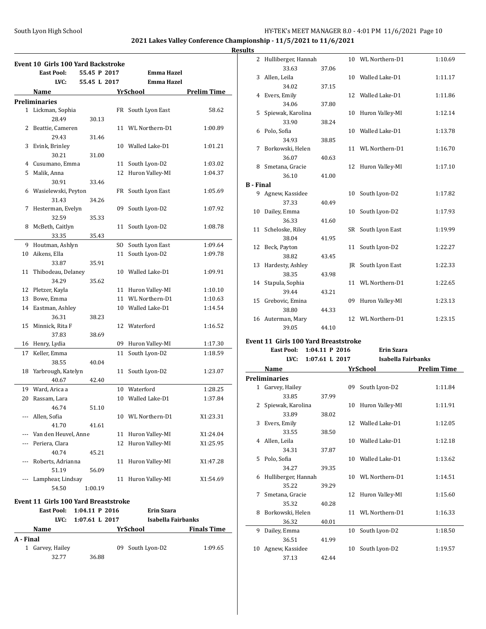**A - Final**

2 Hulliberger, Hannah 10 WL Northern-D1 1:10.69

3 Allen, Leila 10 Walled Lake-D1 1:11.17

4 Evers, Emily 12 Walled Lake-D1 1:11.86

5 Spiewak, Karolina 10 Huron Valley-MI 1:12.14

6 Polo, Sofia 10 Walled Lake-D1 1:13.78

7 Borkowski, Helen 11 WL Northern-D1 1:16.70

8 Smetana, Gracie 12 Huron Valley-MI 1:17.10

9 Agnew, Kassidee 10 South Lyon-D2 1:17.82

10 Dailey, Emma 10 South Lyon-D2 1:17.93

11 Scheloske, Riley SR South Lyon East 1:19.99

12 Beck, Payton 11 South Lyon-D2 1:22.27

13 Hardesty, Ashley JR South Lyon East 1:22.33

14 Stapula, Sophia 11 WL Northern-D1 1:22.65

15 Grebovic, Emina 09 Huron Valley-MI 1:23.13

16 Auterman, Mary 12 WL Northern-D1 1:23.15

**LVC: 1:07.61 L 2017 Isabella Fairbanks Name Yr School Prelim Time**

1 Garvey, Hailey 09 South Lyon-D2 1:11.84

2 Spiewak, Karolina 10 Huron Valley-MI 1:11.91

**East Pool: 1:04.11 P 2016 Erin Szara**

33.63 37.06

34.02 37.15

34.06 37.80

33.90 38.24

34.93 38.85

36.07 40.63

36.10 41.00

37.33 40.49

36.33 41.60

38.04 41.95

38.82 43.45

38.35 43.98

39.44 43.21

38.80 44.33

39.05 44.10 **Event 11 Girls 100 Yard Breaststroke**

33.85 37.99

33.89 38.02

**2021 Lakes Valley Conference Championship - 11/5/2021 to 11/6/2021**

**B - Final**

**Preliminaries**

#### **Results**

|    | <b>Event 10 Girls 100 Yard Backstroke</b> |                |     |                    |                    |
|----|-------------------------------------------|----------------|-----|--------------------|--------------------|
|    | <b>East Pool:</b>                         | 55.45 P 2017   |     | <b>Emma Hazel</b>  |                    |
|    | LVC:                                      | 55.45 L 2017   |     | <b>Emma Hazel</b>  |                    |
|    | Name                                      |                |     | YrSchool           | <b>Prelim Time</b> |
|    | <b>Preliminaries</b>                      |                |     |                    |                    |
|    | 1 Lickman, Sophia                         |                | FR  | South Lyon East    | 58.62              |
|    | 28.49                                     | 30.13          |     |                    |                    |
|    | 2 Beattie, Cameren                        |                | 11  | WL Northern-D1     | 1:00.89            |
|    | 29.43                                     | 31.46          |     |                    |                    |
| 3  | Evink, Brinley                            |                |     | 10 Walled Lake-D1  | 1:01.21            |
|    | 30.21                                     | 31.00          |     |                    |                    |
|    | 4 Cusumano, Emma                          |                | 11  | South Lyon-D2      | 1:03.02            |
|    | 5 Malik, Anna                             |                | 12  | Huron Valley-MI    | 1:04.37            |
|    | 30.91                                     | 33.46          |     |                    |                    |
|    | 6 Wasielewski, Peyton                     |                | FR  | South Lyon East    | 1:05.69            |
|    | 31.43                                     | 34.26          |     |                    |                    |
| 7  | Hesterman, Evelyn                         |                | 09  | South Lyon-D2      | 1:07.92            |
|    | 32.59                                     | 35.33          |     |                    |                    |
| 8  | McBeth, Caitlyn                           |                | 11  | South Lyon-D2      | 1:08.78            |
|    | 33.35                                     | 35.43          |     |                    |                    |
|    | 9 Houtman, Ashlyn                         |                | SO. | South Lyon East    | 1:09.64            |
|    | 10 Aikens, Ella                           |                | 11  | South Lyon-D2      | 1:09.78            |
|    | 33.87                                     | 35.91          |     |                    |                    |
| 11 | Thibodeau, Delaney                        |                | 10  | Walled Lake-D1     | 1:09.91            |
|    | 34.29                                     | 35.62          |     |                    |                    |
| 12 | Pletzer, Kayla                            |                | 11  | Huron Valley-MI    | 1:10.10            |
| 13 | Bowe, Emma                                |                | 11  | WL Northern-D1     | 1:10.63            |
|    | 14 Eastman, Ashley                        |                | 10  | Walled Lake-D1     | 1:14.54            |
|    | 36.31                                     | 38.23          |     |                    |                    |
|    | 15 Minnick, Rita F                        |                |     | 12 Waterford       | 1:16.52            |
|    | 37.83                                     | 38.69          |     |                    |                    |
|    | 16 Henry, Lydia                           |                |     | 09 Huron Valley-MI | 1:17.30            |
| 17 | Keller, Emma                              |                | 11  | South Lyon-D2      | 1:18.59            |
|    | 38.55                                     | 40.04          |     |                    |                    |
|    | 18 Yarbrough, Katelyn                     |                | 11  | South Lyon-D2      | 1:23.07            |
|    | 40.67                                     | 42.40          |     |                    |                    |
|    | 19 Ward, Arica a                          |                |     | 10 Waterford       | 1:28.25            |
| 20 | Rassam, Lara                              |                | 10  | Walled Lake-D1     | 1:37.84            |
|    | 46.74                                     | 51.10          |     |                    |                    |
|    | --- Allen, Sofia                          |                |     | 10 WL Northern-D1  | X1:23.31           |
|    | 41.70                                     | 41.61          |     |                    |                    |
|    | --- Van den Heuvel, Anne                  |                |     | 11 Huron Valley-MI | X1:24.04           |
|    | --- Periera, Clara                        |                | 12  | Huron Valley-MI    | X1:25.95           |
|    | 40.74                                     | 45.21          |     |                    |                    |
|    | --- Roberts, Adrianna                     |                | 11  | Huron Valley-MI    | X1:47.28           |
|    | 51.19                                     | 56.09          |     |                    |                    |
|    | Lamphear, Lindsay                         |                |     | 11 Huron Valley-MI | X1:54.69           |
|    | 54.50                                     | 1:00.19        |     |                    |                    |
|    |                                           |                |     |                    |                    |
|    | Event 11 Girls 100 Yard Breaststroke      |                |     |                    |                    |
|    | <b>East Pool:</b>                         | 1:04.11 P 2016 |     | <b>Erin Szara</b>  |                    |
|    | LVC:                                      | 1:07.61 L 2017 |     | Isabella Fairbanks |                    |
|    | Name                                      |                |     | YrSchool           | <b>Finals Time</b> |

1 Garvey, Hailey 09 South Lyon-D2 1:09.65

32.77 36.88

|    | 3 Evers, Emily      |       |    | 12 Walled Lake-D1  | 1:12.05 |
|----|---------------------|-------|----|--------------------|---------|
|    | 33.55               | 38.50 |    |                    |         |
|    | 4 Allen, Leila      |       |    | 10 Walled Lake-D1  | 1:12.18 |
|    | 34.31               | 37.87 |    |                    |         |
|    | 5 Polo, Sofia       |       |    | 10 Walled Lake-D1  | 1:13.62 |
|    | 34.27               | 39.35 |    |                    |         |
| 6  | Hulliberger, Hannah |       |    | 10 WL Northern-D1  | 1:14.51 |
|    | 35.22               | 39.29 |    |                    |         |
| 7  | Smetana, Gracie     |       |    | 12 Huron Valley-MI | 1:15.60 |
|    | 35.32               | 40.28 |    |                    |         |
| 8  | Borkowski, Helen    |       |    | 11 WL Northern-D1  | 1:16.33 |
|    | 36.32               | 40.01 |    |                    |         |
| 9  | Dailey, Emma        |       |    | 10 South Lyon-D2   | 1:18.50 |
|    | 36.51               | 41.99 |    |                    |         |
| 10 | Agnew, Kassidee     |       | 10 | South Lyon-D2      | 1:19.57 |
|    | 37.13               | 42.44 |    |                    |         |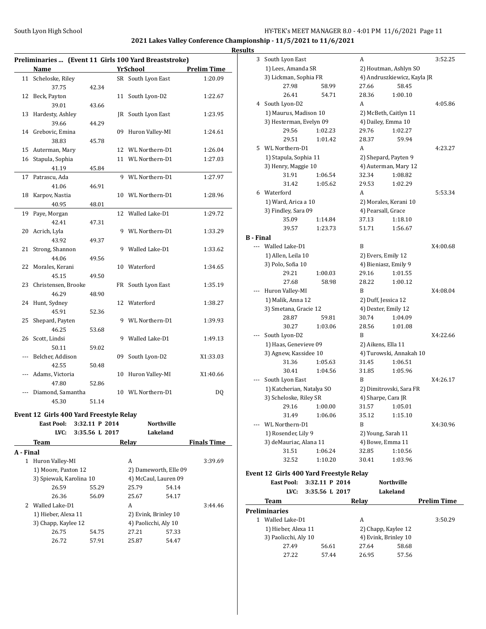### South Lyon High School HY-TEK's MEET MANAGER 8.0 - 4:01 PM 11/6/2021 Page 11

**2021 Lakes Valley Conference Championship - 11/5/2021 to 11/6/2021**

|                | Preliminaries  (Event 11 Girls 100 Yard Breaststroke) |       |    |                    |                    |
|----------------|-------------------------------------------------------|-------|----|--------------------|--------------------|
|                | Name                                                  |       |    | <b>YrSchool</b>    | <b>Prelim Time</b> |
| 11             | Scheloske, Riley                                      |       |    | SR South Lyon East | 1:20.09            |
|                | 37.75                                                 | 42.34 |    |                    |                    |
| 12             | Beck, Payton                                          |       | 11 | South Lyon-D2      | 1:22.67            |
|                | 39.01                                                 | 43.66 |    |                    |                    |
| 13             | Hardesty, Ashley                                      |       | IR | South Lyon East    | 1:23.95            |
|                | 39.66                                                 | 44.29 |    |                    |                    |
| 14             | Grebovic, Emina                                       |       | 09 | Huron Valley-MI    | 1:24.61            |
|                | 38.83                                                 | 45.78 |    |                    |                    |
| 15             | Auterman, Mary                                        |       |    | 12 WL Northern-D1  | 1:26.04            |
| 16             | Stapula, Sophia                                       |       | 11 | WL Northern-D1     | 1:27.03            |
|                | 41.19                                                 | 45.84 |    |                    |                    |
| 17             | Patrascu, Ada                                         |       | 9  | WL Northern-D1     | 1:27.97            |
|                | 41.06                                                 | 46.91 |    |                    |                    |
| 18             | Karpov, Nastia                                        |       | 10 | WL Northern-D1     | 1:28.96            |
|                | 40.95                                                 | 48.01 |    |                    |                    |
| 19             | Paye, Morgan                                          |       | 12 | Walled Lake-D1     | 1:29.72            |
|                | 42.41                                                 | 47.31 |    |                    |                    |
| 20             | Acrich, Lyla                                          |       | 9  | WL Northern-D1     | 1:33.29            |
|                | 43.92                                                 | 49.37 |    |                    |                    |
| 21             | Strong, Shannon                                       |       | 9  | Walled Lake-D1     | 1:33.62            |
|                | 44.06                                                 | 49.56 |    |                    |                    |
| 22             | Morales, Kerani                                       |       | 10 | Waterford          | 1:34.65            |
|                | 45.15                                                 | 49.50 |    |                    |                    |
| 23             | Christensen, Brooke                                   |       | FR | South Lyon East    | 1:35.19            |
|                | 46.29                                                 | 48.90 |    |                    |                    |
| 24             | Hunt, Sydney                                          |       |    | 12 Waterford       | 1:38.27            |
|                | 45.91                                                 | 52.36 |    |                    |                    |
| 25             | Shepard, Payten                                       |       | 9  | WL Northern-D1     | 1:39.93            |
|                | 46.25                                                 | 53.68 |    |                    |                    |
| 26             | Scott, Lindsi                                         |       | 9  | Walled Lake-D1     | 1:49.13            |
|                | 50.11                                                 | 59.02 |    |                    |                    |
| ---            | Belcher, Addison                                      |       | 09 | South Lyon-D2      | X1:33.03           |
|                | 42.55                                                 | 50.48 |    |                    |                    |
| $\overline{a}$ | Adams, Victoria                                       |       | 10 | Huron Valley-MI    | X1:40.66           |
|                | 47.80                                                 | 52.86 |    |                    |                    |
|                | Diamond, Samantha                                     |       | 10 | WL Northern-D1     | DQ                 |
|                | 45.30                                                 | 51.14 |    |                    |                    |

### **Event 12 Girls 400 Yard Freestyle Relay**

|                | East Pool:              | 3:32.11 P 2014 |       | <b>Northville</b>     |                    |
|----------------|-------------------------|----------------|-------|-----------------------|--------------------|
|                | LVC:                    | 3:35.56 L 2017 |       | Lakeland              |                    |
|                | Team                    |                | Relav |                       | <b>Finals Time</b> |
| A - Final      |                         |                |       |                       |                    |
| 1              | Huron Valley-MI         |                | A     |                       | 3:39.69            |
|                | 1) Moore, Paxton 12     |                |       | 2) Dameworth, Elle 09 |                    |
|                | 3) Spiewak, Karolina 10 |                |       | 4) McCaul, Lauren 09  |                    |
|                | 26.59                   | 55.29          | 25.79 | 54.14                 |                    |
|                | 26.36                   | 56.09          | 25.67 | 54.17                 |                    |
| $\overline{2}$ | Walled Lake-D1          |                | A     |                       | 3:44.46            |
|                | 1) Hieber, Alexa 11     |                |       | 2) Evink, Brinley 10  |                    |
|                | 3) Chapp, Kaylee 12     |                |       | 4) Paolicchi, Aly 10  |                    |
|                | 26.75                   | 54.75          | 27.21 | 57.33                 |                    |
|                | 26.72                   | 57.91          | 25.87 | 54.47                 |                    |
|                |                         |                |       |                       |                    |

| <b>Results</b>   |                           |         |                     |                             |          |
|------------------|---------------------------|---------|---------------------|-----------------------------|----------|
|                  | 3 South Lyon East         |         | A                   |                             | 3:52.25  |
|                  | 1) Lees, Amanda SR        |         |                     | 2) Houtman, Ashlyn SO       |          |
|                  | 3) Lickman, Sophia FR     |         |                     | 4) Andruszkiewicz, Kayla JR |          |
|                  | 27.98                     | 58.99   | 27.66               | 58.45                       |          |
|                  | 26.41                     | 54.71   | 28.36               | 1:00.10                     |          |
|                  | 4 South Lyon-D2           |         | A                   |                             | 4:05.86  |
|                  | 1) Maurus, Madison 10     |         |                     | 2) McBeth, Caitlyn 11       |          |
|                  | 3) Hesterman, Evelyn 09   |         |                     | 4) Dailey, Emma 10          |          |
|                  | 29.56                     | 1:02.23 | 29.76               | 1:02.27                     |          |
|                  | 29.51                     | 1:01.42 | 28.37               | 59.94                       |          |
|                  | 5 WL Northern-D1          |         | A                   |                             | 4:23.27  |
|                  | 1) Stapula, Sophia 11     |         |                     | 2) Shepard, Payten 9        |          |
|                  | 3) Henry, Maggie 10       |         |                     | 4) Auterman, Mary 12        |          |
|                  | 31.91                     | 1:06.54 | 32.34               | 1:08.82                     |          |
|                  | 31.42                     | 1:05.62 | 29.53               | 1:02.29                     |          |
|                  | 6 Waterford               |         | A                   |                             | 5:53.34  |
|                  | 1) Ward, Arica a 10       |         |                     | 2) Morales, Kerani 10       |          |
|                  | 3) Findley, Sara 09       |         | 4) Pearsall, Grace  |                             |          |
|                  | 35.09                     | 1:14.84 | 37.13               | 1:18.10                     |          |
|                  | 39.57                     | 1:23.73 | 51.71               | 1:56.67                     |          |
| <b>B</b> - Final |                           |         |                     |                             |          |
|                  | --- Walled Lake-D1        |         | B                   |                             | X4:00.68 |
|                  | 1) Allen, Leila 10        |         | 2) Evers, Emily 12  |                             |          |
|                  | 3) Polo, Sofia 10         |         |                     | 4) Bieniasz, Emily 9        |          |
|                  | 29.21                     | 1:00.03 | 29.16               | 1:01.55                     |          |
|                  | 27.68                     | 58.98   | 28.22               | 1:00.12                     |          |
|                  | --- Huron Valley-MI       |         | B                   |                             | X4:08.04 |
|                  | 1) Malik, Anna 12         |         | 2) Duff, Jessica 12 |                             |          |
|                  | 3) Smetana, Gracie 12     |         |                     | 4) Dexter, Emily 12         |          |
|                  | 28.87                     | 59.81   | 30.74               | 1:04.09                     |          |
|                  | 30.27                     | 1:03.06 | 28.56               | 1:01.08                     |          |
|                  | --- South Lyon-D2         |         | B                   |                             | X4:22.66 |
|                  | 1) Haas, Genevieve 09     |         | 2) Aikens, Ella 11  |                             |          |
|                  | 3) Agnew, Kassidee 10     |         |                     | 4) Turowski, Annakah 10     |          |
|                  | 31.36                     | 1:05.63 | 31.45               | 1:06.51                     |          |
|                  | 30.41                     | 1:04.56 | 31.85               | 1:05.96                     |          |
|                  | --- South Lyon East       |         | B                   |                             | X4:26.17 |
|                  | 1) Katcherian, Natalya SO |         |                     | 2) Dimitrovski, Sara FR     |          |
|                  | 3) Scheloske, Riley SR    |         | 4) Sharpe, Cara JR  |                             |          |
|                  | 29.16                     | 1:00.00 | 31.57               | 1:05.01                     |          |
|                  | 31.49                     | 1:06.06 | 35.12               | 1:15.10                     |          |
|                  | WL Northern-D1            |         | B                   |                             | X4:30.96 |
|                  | 1) Rosender, Lily 9       |         |                     | 2) Young, Sarah 11          |          |
|                  | 3) deMauriac, Alana 11    |         |                     | 4) Bowe, Emma 11            |          |
|                  | 31.51                     | 1:06.24 | 32.85               | 1:10.56                     |          |
|                  | 32.52                     | 1:10.20 | 30.41               | 1:03.96                     |          |

# **Event 12 Girls 400 Yard Freestyle Relay**

| <b>Northville</b><br>3:32.11 P 2014          |                    |
|----------------------------------------------|--------------------|
| Lakeland<br>3:35.56 L 2017<br>LVC:           |                    |
| Relav<br>Team                                | <b>Prelim Time</b> |
| <b>Preliminaries</b>                         |                    |
| Walled Lake-D1<br>A                          | 3:50.29            |
| 1) Hieber, Alexa 11<br>2) Chapp, Kaylee 12   |                    |
| 4) Evink, Brinley 10<br>3) Paolicchi, Aly 10 |                    |
| 27.49<br>58.68<br>56.61<br>27.64             |                    |
| 26.95<br>57.56<br>27.22<br>57.44             |                    |